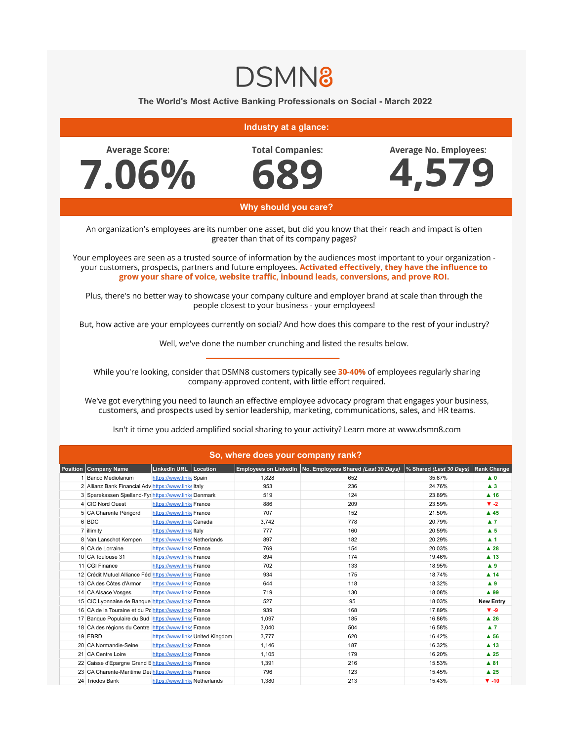## **DSMN8**

## **The World's Most Active Banking Professionals on Social - March 2022**

## **Industry at a glance:**

**Average Score:** 7.06% **Total Companies:** 

**Average No. Employees:** 



 **Why should you care?**

An organization's employees are its number one asset, but did you know that their reach and impact is often greater than that of its company pages?

Your employees are seen as a trusted source of information by the audiences most important to your organization your customers, prospects, partners and future employees. Activated effectively, they have the influence to grow your share of voice, website traffic, inbound leads, conversions, and prove ROI.

Plus, there's no better way to showcase your company culture and employer brand at scale than through the people closest to your business - your employees!

But, how active are your employees currently on social? And how does this compare to the rest of your industry?

Well, we've done the number crunching and listed the results below.

While you're looking, consider that DSMN8 customers typically see 30-40% of employees regularly sharing company-approved content, with little effort required.

We've got everything you need to launch an effective employee advocacy program that engages your business, customers, and prospects used by senior leadership, marketing, communications, sales, and HR teams.

Isn't it time you added amplified social sharing to your activity? Learn more at www.dsmn8.com

| So, where does your company rank?                      |                               |                                  |       |                                                             |                         |                         |  |  |  |
|--------------------------------------------------------|-------------------------------|----------------------------------|-------|-------------------------------------------------------------|-------------------------|-------------------------|--|--|--|
| Position Company Name                                  | LinkedIn URL Location         |                                  |       | Employees on LinkedIn   No. Employees Shared (Last 30 Days) | % Shared (Last 30 Days) | <b>Rank Change</b>      |  |  |  |
| 1 Banco Mediolanum                                     | https://www.linke Spain       |                                  | 1.828 | 652                                                         | 35.67%                  | $\blacktriangle$ 0      |  |  |  |
| 2 Allianz Bank Financial Adv https://www.linkeltaly    |                               |                                  | 953   | 236                                                         | 24.76%                  | $\blacktriangle$ 3      |  |  |  |
| 3 Sparekassen Sjælland-Fyr https://www.linkeDenmark    |                               |                                  | 519   | 124                                                         | 23.89%                  | $A$ 16                  |  |  |  |
| 4 CIC Nord Ouest                                       | https://www.linke France      |                                  | 886   | 209                                                         | 23.59%                  | $\blacktriangledown$ -2 |  |  |  |
| 5 CA Charente Périgord                                 | https://www.linke France      |                                  | 707   | 152                                                         | 21.50%                  | $\triangle$ 45          |  |  |  |
| 6 BDC                                                  | https://www.linkeCanada       |                                  | 3,742 | 778                                                         | 20.79%                  | $\blacktriangle$ 7      |  |  |  |
| 7 illimity                                             | https://www.linkeltaly        |                                  | 777   | 160                                                         | 20.59%                  | $\blacktriangle$ 5      |  |  |  |
| 8 Van Lanschot Kempen                                  | https://www.linke Netherlands |                                  | 897   | 182                                                         | 20.29%                  | $\blacktriangle$ 1      |  |  |  |
| 9 CA de Lorraine                                       | https://www.linke France      |                                  | 769   | 154                                                         | 20.03%                  | $\blacktriangle$ 28     |  |  |  |
| 10 CA Toulouse 31                                      | https://www.linke France      |                                  | 894   | 174                                                         | 19.46%                  | $\blacktriangle$ 13     |  |  |  |
| 11 CGI Finance                                         | https://www.linke France      |                                  | 702   | 133                                                         | 18.95%                  | A9                      |  |  |  |
| 12 Crédit Mutuel Alliance Féd https://www.linke France |                               |                                  | 934   | 175                                                         | 18.74%                  | $\blacktriangle$ 14     |  |  |  |
| 13 CA des Côtes d'Armor                                | https://www.linke France      |                                  | 644   | 118                                                         | 18.32%                  | A9                      |  |  |  |
| 14 CA Alsace Vosges                                    | https://www.linke France      |                                  | 719   | 130                                                         | 18.08%                  | ▲ 99                    |  |  |  |
| 15 CIC Lyonnaise de Banque https://www.linke France    |                               |                                  | 527   | 95                                                          | 18.03%                  | <b>New Entry</b>        |  |  |  |
| 16 CA de la Touraine et du Po https://www.linke France |                               |                                  | 939   | 168                                                         | 17.89%                  | $V - 9$                 |  |  |  |
| 17 Banque Populaire du Sud https://www.linke France    |                               |                                  | 1,097 | 185                                                         | 16.86%                  | $\blacktriangle$ 26     |  |  |  |
| 18 CA des régions du Centre https://www.linke France   |                               |                                  | 3.040 | 504                                                         | 16.58%                  | $\blacktriangle$ 7      |  |  |  |
| 19 EBRD                                                |                               | https://www.linke United Kingdom | 3,777 | 620                                                         | 16.42%                  | $A$ 56                  |  |  |  |
| 20 CA Normandie-Seine                                  | https://www.linke France      |                                  | 1.146 | 187                                                         | 16.32%                  | $\blacktriangle$ 13     |  |  |  |
| 21 CA Centre Loire                                     | https://www.linke France      |                                  | 1,105 | 179                                                         | 16.20%                  | $\blacktriangle$ 25     |  |  |  |
| 22 Caisse d'Epargne Grand E https://www.linke France   |                               |                                  | 1,391 | 216                                                         | 15.53%                  | $A$ 81                  |  |  |  |
| 23 CA Charente-Maritime Det https://www.linke France   |                               |                                  | 796   | 123                                                         | 15.45%                  | $\blacktriangle$ 25     |  |  |  |
| 24 Triodos Bank                                        | https://www.linke Netherlands |                                  | 1,380 | 213                                                         | 15.43%                  | $\Psi - 10$             |  |  |  |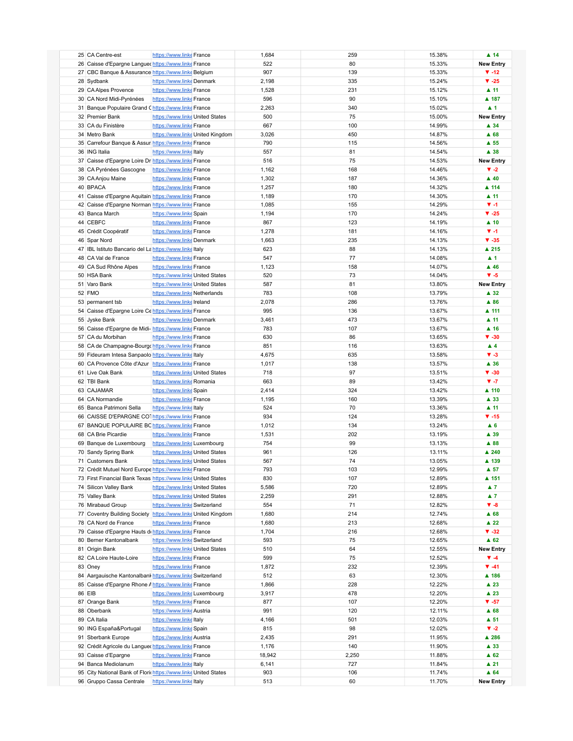| 25 CA Centre-est                                        | https://www.linke France                                       | 1,684  | 259   | 15.38% | $\blacktriangle$ 14     |
|---------------------------------------------------------|----------------------------------------------------------------|--------|-------|--------|-------------------------|
| 26 Caisse d'Epargne Languer https://www.linke France    |                                                                | 522    | 80    | 15.33% | <b>New Entry</b>        |
|                                                         |                                                                |        |       |        |                         |
| 27 CBC Banque & Assurance https://www.linke Belgium     |                                                                | 907    | 139   | 15.33% | $\Psi - 12$             |
| 28 Sydbank                                              | https://www.linke Denmark                                      | 2,198  | 335   | 15.24% | $V - 25$                |
| 29 CA Alpes Provence                                    | https://www.linke France                                       | 1,528  | 231   | 15.12% | $\blacktriangle$ 11     |
| 30 CA Nord Midi-Pyrénées                                | https://www.linke France                                       | 596    | 90    | 15.10% | ▲ 187                   |
| 31 Banque Populaire Grand Chttps://www.linke France     |                                                                | 2,263  | 340   | 15.02% | $\blacktriangle$ 1      |
| 32 Premier Bank                                         | https://www.linke United States                                | 500    | 75    | 15.00% | <b>New Entry</b>        |
|                                                         |                                                                |        |       |        |                         |
| 33 CA du Finistère                                      | https://www.linke France                                       | 667    | 100   | 14.99% | ▲ 34                    |
| 34 Metro Bank                                           | https://www.linke United Kingdom                               | 3,026  | 450   | 14.87% | A68                     |
| 35 Carrefour Banque & Assur https://www.linke France    |                                                                | 790    | 115   | 14.56% | $\blacktriangle$ 55     |
| 36 ING Italia                                           | https://www.linkeltaly                                         | 557    | 81    | 14.54% | $\blacktriangle$ 38     |
| 37 Caisse d'Epargne Loire Dr https://www.linke France   |                                                                | 516    | 75    | 14.53% | <b>New Entry</b>        |
| 38 CA Pyrénées Gascogne                                 | https://www.linke France                                       | 1,162  | 168   | 14.46% | $\blacktriangledown -2$ |
|                                                         |                                                                |        |       |        |                         |
| 39 CA Anjou Maine                                       | https://www.linke France                                       | 1,302  | 187   | 14.36% | $\blacktriangle$ 40     |
| 40 BPACA                                                | https://www.linke France                                       | 1,257  | 180   | 14.32% | ▲ 114                   |
| 41 Caisse d'Epargne Aquitain https://www.linke France   |                                                                | 1,189  | 170   | 14.30% | $\blacktriangle$ 11     |
| 42 Caisse d'Epargne Norman https://www.linke France     |                                                                | 1,085  | 155   | 14.29% | $\Psi - 1$              |
| 43 Banca March                                          | https://www.linke Spain                                        | 1,194  | 170   | 14.24% | $V - 25$                |
| 44 CEBFC                                                | https://www.linke France                                       | 867    | 123   | 14.19% | $\blacktriangle$ 10     |
|                                                         |                                                                |        |       |        |                         |
| 45 Crédit Coopératif                                    | https://www.linke France                                       | 1,278  | 181   | 14.16% | $\P$ -1                 |
| 46 Spar Nord                                            | https://www.linke Denmark                                      | 1,663  | 235   | 14.13% | $V - 35$                |
| 47 IBL Istituto Bancario del La https://www.linke Italy |                                                                | 623    | 88    | 14.13% | ▲ 215                   |
| 48 CA Val de France                                     | https://www.linke France                                       | 547    | 77    | 14.08% | $\blacktriangle$ 1      |
| 49 CA Sud Rhône Alpes                                   | https://www.linke France                                       | 1,123  | 158   | 14.07% | $\blacktriangle$ 46     |
|                                                         |                                                                |        | 73    |        | $V - 5$                 |
| 50 HSA Bank                                             | https://www.linke United States                                | 520    |       | 14.04% |                         |
| 51 Varo Bank                                            | https://www.linke United States                                | 587    | 81    | 13.80% | <b>New Entry</b>        |
| 52 FMO                                                  | https://www.linke Netherlands                                  | 783    | 108   | 13.79% | $\blacktriangle$ 32     |
| 53 permanent tsb                                        | https://www.linkelreland                                       | 2,078  | 286   | 13.76% | ▲ 86                    |
| 54 Caisse d'Epargne Loire Ce https://www.linke France   |                                                                | 995    | 136   | 13.67% | ▲ 111                   |
| 55 Jyske Bank                                           | https://www.linke Denmark                                      | 3,461  | 473   | 13.67% | $\blacktriangle$ 11     |
|                                                         |                                                                |        |       |        |                         |
| 56 Caisse d'Epargne de Midi-https://www.linke France    |                                                                | 783    | 107   | 13.67% | $\blacktriangle$ 16     |
| 57 CA du Morbihan                                       | https://www.linke France                                       | 630    | 86    | 13.65% | $V - 30$                |
| 58 CA de Champagne-Bourgo https://www.linke France      |                                                                | 851    | 116   | 13.63% | $\blacktriangle$ 4      |
| 59 Fideuram Intesa Sanpaolo https://www.linke Italy     |                                                                | 4,675  | 635   | 13.58% | $V - 3$                 |
| 60 CA Provence Côte d'Azur https://www.linke France     |                                                                | 1,017  | 138   | 13.57% | ▲ 36                    |
|                                                         |                                                                |        |       |        |                         |
| 61 Live Oak Bank                                        | https://www.linke United States                                | 718    | 97    | 13.51% | $V - 30$                |
| 62 TBI Bank                                             | https://www.linke Romania                                      | 663    | 89    | 13.42% | $V - 7$                 |
| 63 CAJAMAR                                              | https://www.linke Spain                                        | 2,414  | 324   | 13.42% | $\blacktriangle$ 110    |
| 64 CA Normandie                                         | https://www.linke France                                       | 1,195  | 160   | 13.39% | ▲ 33                    |
| 65 Banca Patrimoni Sella                                | https://www.linkeltaly                                         | 524    | 70    | 13.36% | $\blacktriangle$ 11     |
| 66 CAISSE D'EPARGNE COThttps://www.linke France         |                                                                | 934    | 124   | 13.28% | $\Psi - 15$             |
|                                                         |                                                                |        |       |        |                         |
| 67 BANQUE POPULAIRE BC https://www.linke France         |                                                                | 1,012  | 134   | 13.24% | A6                      |
| 68 CA Brie Picardie                                     | https://www.linke France                                       | 1,531  | 202   | 13.19% | ▲ 39                    |
| 69 Banque de Luxembourg                                 | https://www.linke Luxembourg                                   | 754    | 99    | 13.13% | ▲ 88                    |
| 70 Sandy Spring Bank                                    | https://www.linke United States                                | 961    | 126   | 13.11% | $\triangle$ 240         |
| 71 Customers Bank                                       | https://www.linke United States                                | 567    | 74    | 13.05% | ▲ 139                   |
|                                                         |                                                                |        |       |        |                         |
| 72 Crédit Mutuel Nord Europe https://www.linke France   |                                                                | 793    | 103   | 12.99% | $\blacktriangle$ 57     |
|                                                         | 73 First Financial Bank Texas https://www.linke United States  | 830    | 107   | 12.89% | ▲ 151                   |
| 74 Silicon Valley Bank                                  | https://www.linke United States                                | 5,586  | 720   | 12.89% | $\blacktriangle$ 7      |
| 75 Valley Bank                                          | https://www.linke United States                                | 2,259  | 291   | 12.88% | $\blacktriangle$ 7      |
| 76 Mirabaud Group                                       | https://www.linke Switzerland                                  | 554    | 71    | 12.82% | $V - 8$                 |
|                                                         | 77 Coventry Building Society https://www.linke United Kingdom  | 1,680  | 214   | 12.74% | A68                     |
|                                                         |                                                                |        |       |        |                         |
| 78 CA Nord de France                                    | https://www.linke France                                       | 1,680  | 213   | 12.68% | $\blacktriangle$ 22     |
| 79 Caisse d'Epargne Hauts de https://www.linke France   |                                                                | 1,704  | 216   | 12.68% | $\Psi - 32$             |
| 80 Berner Kantonalbank                                  | https://www.linke Switzerland                                  | 593    | 75    | 12.65% | $\triangle$ 62          |
| 81 Origin Bank                                          | https://www.linke United States                                | 510    | 64    | 12.55% | <b>New Entry</b>        |
| 82 CA Loire Haute-Loire                                 | https://www.linke France                                       | 599    | 75    | 12.52% | $\Psi - 4$              |
|                                                         |                                                                |        | 232   |        | $\Psi -41$              |
| 83 Oney                                                 | https://www.linke France                                       | 1,872  |       | 12.39% |                         |
|                                                         | 84 Aargauische Kantonalbank https://www.linke Switzerland      | 512    | 63    | 12.30% | ▲ 186                   |
| 85 Caisse d'Epargne Rhone A https://www.linke France    |                                                                | 1,866  | 228   | 12.22% | $\blacktriangle$ 23     |
| 86 EIB                                                  | https://www.linke Luxembourg                                   | 3,917  | 478   | 12.20% | $\blacktriangle$ 23     |
| 87 Orange Bank                                          | https://www.linke France                                       | 877    | 107   | 12.20% | $\Psi - 57$             |
| 88 Oberbank                                             | https://www.linke Austria                                      | 991    | 120   | 12.11% | $\blacktriangle$ 68     |
|                                                         |                                                                |        |       |        |                         |
| 89 CA Italia                                            | https://www.linkeltaly                                         | 4,166  | 501   | 12.03% | $\blacktriangle$ 51     |
| 90 ING España&Portugal                                  | https://www.linke Spain                                        | 815    | 98    | 12.02% | $\blacktriangledown -2$ |
| 91 Sberbank Europe                                      | https://www.linke Austria                                      | 2,435  | 291   | 11.95% | ▲ 286                   |
| 92 Crédit Agricole du Languer https://www.linke France  |                                                                | 1,176  | 140   | 11.90% | $\blacktriangle$ 33     |
| 93 Caisse d'Epargne                                     | https://www.linke France                                       | 18,942 | 2,250 | 11.88% | $\triangle$ 62          |
|                                                         |                                                                |        |       |        |                         |
| 94 Banca Mediolanum                                     | https://www.linkeltaly                                         | 6,141  | 727   | 11.84% | $\blacktriangle$ 21     |
|                                                         | 95 City National Bank of Flori https://www.linke United States | 903    | 106   | 11.74% | A64                     |
| 96 Gruppo Cassa Centrale                                | https://www.linkeltaly                                         | 513    | 60    | 11.70% | <b>New Entry</b>        |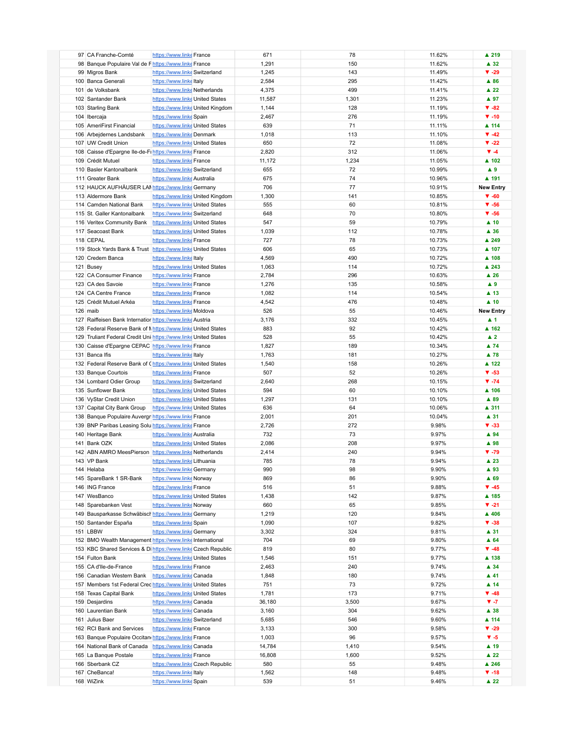| 97 CA Franche-Comté                                             | https://www.linke France        |                                  | 671    | 78    | 11.62% | ▲ 219                |
|-----------------------------------------------------------------|---------------------------------|----------------------------------|--------|-------|--------|----------------------|
| 98 Banque Populaire Val de Fhttps://www.linke France            |                                 |                                  | 1,291  | 150   | 11.62% | $\blacktriangle$ 32  |
|                                                                 |                                 |                                  |        |       |        |                      |
| 99 Migros Bank                                                  | https://www.linke Switzerland   |                                  | 1,245  | 143   | 11.49% | $V - 29$             |
| 100 Banca Generali                                              | https://www.linke Italy         |                                  | 2,584  | 295   | 11.42% | $\blacktriangle$ 86  |
|                                                                 |                                 |                                  |        |       |        |                      |
| 101 de Volksbank                                                | https://www.linke Netherlands   |                                  | 4,375  | 499   | 11.41% | $\blacktriangle$ 22  |
| 102 Santander Bank                                              | https://www.linke United States |                                  | 11,587 | 1,301 | 11.23% | ▲ 97                 |
|                                                                 |                                 |                                  |        |       |        |                      |
| 103 Starling Bank                                               |                                 | https://www.linke United Kingdom | 1,144  | 128   | 11.19% | $\Psi - 82$          |
| 104 Ibercaja                                                    | https://www.linke Spain         |                                  | 2,467  | 276   | 11.19% | $\Psi - 10$          |
| 105 AmeriFirst Financial                                        | https://www.linke United States |                                  | 639    | 71    | 11.11% | ▲ 114                |
|                                                                 |                                 |                                  |        |       |        |                      |
| 106 Arbejdernes Landsbank                                       | https://www.linke Denmark       |                                  | 1,018  | 113   | 11.10% | $\Psi - 42$          |
| 107 UW Credit Union                                             | https://www.linke United States |                                  | 650    | 72    | 11.08% | $\Psi - 22$          |
|                                                                 |                                 |                                  |        |       |        |                      |
| 108 Caisse d'Epargne Ile-de-Fi https://www.linkerFrance         |                                 |                                  | 2,820  | 312   | 11.06% | $\Psi - 4$           |
| 109 Crédit Mutuel                                               | https://www.linke France        |                                  | 11,172 | 1,234 | 11.05% | ▲ 102                |
|                                                                 |                                 |                                  |        |       |        |                      |
| 110 Basler Kantonalbank                                         | https://www.linke Switzerland   |                                  | 655    | 72    | 10.99% | A9                   |
| 111 Greater Bank                                                | https://www.linke Australia     |                                  | 675    | 74    | 10.96% | ▲ 191                |
|                                                                 |                                 |                                  |        |       |        |                      |
| 112 HAUCK AUFHÄUSER LAI https://www.linke Germany               |                                 |                                  | 706    | 77    | 10.91% | <b>New Entry</b>     |
| 113 Aldermore Bank                                              |                                 | https://www.linke United Kingdom | 1,300  | 141   | 10.85% | $\Psi - 60$          |
| 114 Camden National Bank                                        | https://www.linke United States |                                  | 555    | 60    | 10.81% | $V - 56$             |
|                                                                 |                                 |                                  |        |       |        |                      |
| 115 St. Galler Kantonalbank                                     | https://www.linke Switzerland   |                                  | 648    | 70    | 10.80% | $\Psi - 56$          |
| 116 Veritex Community Bank                                      | https://www.linke United States |                                  | 547    | 59    | 10.79% | $\blacktriangle$ 10  |
|                                                                 |                                 |                                  |        |       |        |                      |
| 117 Seacoast Bank                                               | https://www.linke United States |                                  | 1,039  | 112   | 10.78% | $\blacktriangle$ 36  |
| 118 CEPAL                                                       | https://www.linke France        |                                  | 727    | 78    | 10.73% | ▲ 249                |
|                                                                 |                                 |                                  |        |       |        |                      |
| 119 Stock Yards Bank & Trust https://www.linke United States    |                                 |                                  | 606    | 65    | 10.73% | ▲ 107                |
| 120 Credem Banca                                                | https://www.linke Italy         |                                  | 4,569  | 490   | 10.72% | ▲ 108                |
|                                                                 |                                 |                                  |        |       |        |                      |
| 121 Busey                                                       | https://www.linke United States |                                  | 1,063  | 114   | 10.72% | ▲ 243                |
| 122 CA Consumer Finance                                         | https://www.linke France        |                                  | 2,784  | 296   | 10.63% | $\blacktriangle$ 26  |
|                                                                 |                                 |                                  |        |       |        |                      |
| 123 CA des Savoie                                               | https://www.linke France        |                                  | 1,276  | 135   | 10.58% | A9                   |
| 124 CA Centre France                                            | https://www.linke France        |                                  | 1,082  | 114   | 10.54% | $\blacktriangle$ 13  |
| 125 Crédit Mutuel Arkéa                                         | https://www.linke France        |                                  | 4,542  | 476   | 10.48% | $\blacktriangle$ 10  |
|                                                                 |                                 |                                  |        |       |        |                      |
| 126 maib                                                        | https://www.linke Moldova       |                                  | 526    | 55    | 10.46% | <b>New Entry</b>     |
| 127 Raiffeisen Bank Internatior https://www.linke Austria       |                                 |                                  | 3,176  | 332   | 10.45% | $\blacktriangle$ 1   |
|                                                                 |                                 |                                  |        |       |        |                      |
| 128 Federal Reserve Bank of Nhttps://www.linke United States    |                                 |                                  | 883    | 92    | 10.42% | $\blacktriangle$ 162 |
| 129 Truliant Federal Credit Uni https://www.linke United States |                                 |                                  | 528    | 55    | 10.42% | $\blacktriangle$ 2   |
|                                                                 |                                 |                                  |        |       |        |                      |
| 130 Caisse d'Epargne CEPAC https://www.linke France             |                                 |                                  | 1,827  | 189   | 10.34% | ▲ 74                 |
| 131 Banca Ifis                                                  | https://www.linkeltaly          |                                  | 1,763  | 181   | 10.27% | $\blacktriangle$ 78  |
|                                                                 |                                 |                                  |        |       |        |                      |
| 132 Federal Reserve Bank of Chttps://www.linke United States    |                                 |                                  | 1,540  | 158   | 10.26% | ▲ 122                |
| 133 Banque Courtois                                             | https://www.linke France        |                                  | 507    | 52    | 10.26% | $\Psi - 53$          |
| 134 Lombard Odier Group                                         |                                 |                                  |        | 268   |        | $\Psi - 74$          |
|                                                                 | https://www.linke Switzerland   |                                  | 2,640  |       | 10.15% |                      |
| 135 Sunflower Bank                                              | https://www.linke United States |                                  | 594    | 60    | 10.10% | ▲ 106                |
| 136 VyStar Credit Union                                         | https://www.linke United States |                                  | 1,297  | 131   | 10.10% | ▲ 89                 |
|                                                                 |                                 |                                  |        |       |        |                      |
| 137 Capital City Bank Group                                     | https://www.linke United States |                                  | 636    | 64    | 10.06% | ▲ 311                |
| 138 Banque Populaire Auvergr https://www.linke France           |                                 |                                  | 2,001  | 201   | 10.04% | ▲ 31                 |
|                                                                 |                                 |                                  |        |       |        |                      |
| 139 BNP Paribas Leasing Solu https://www.linke France           |                                 |                                  | 2,726  | 272   | 9.98%  | $V - 33$             |
| 140 Heritage Bank                                               | https://www.linke Australia     |                                  | 732    | 73    | 9.97%  | ▲ 94                 |
|                                                                 |                                 |                                  |        |       |        |                      |
| 141 Bank OZK                                                    | https://www.linke United States |                                  | 2,086  | 208   | 9.97%  | ▲ 98                 |
| 142 ABN AMRO MeesPierson https://www.linke Netherlands          |                                 |                                  | 2,414  | 240   | 9.94%  | $\Psi - 79$          |
| 143 VP Bank                                                     | https://www.linke Lithuania     |                                  | 785    | 78    | 9.94%  | $\blacktriangle$ 23  |
|                                                                 |                                 |                                  |        |       |        |                      |
| 144 Helaba                                                      | https://www.linke Germany       |                                  | 990    | 98    | 9.90%  | $\blacktriangle$ 93  |
| 145 SpareBank 1 SR-Bank                                         | https://www.linke Norway        |                                  | 869    | 86    | 9.90%  | $A$ 69               |
|                                                                 |                                 |                                  |        |       |        |                      |
| 146 ING France                                                  | https://www.linke France        |                                  | 516    | 51    | 9.88%  | $\Psi - 45$          |
| 147 WesBanco                                                    | https://www.linke United States |                                  | 1,438  | 142   | 9.87%  | ▲ 185                |
|                                                                 |                                 |                                  |        |       |        |                      |
| 148 Sparebanken Vest                                            | https://www.linke Norway        |                                  | 660    | 65    | 9.85%  | $V - 21$             |
| 149 Bausparkasse Schwäbisch https://www.linke Germany           |                                 |                                  | 1,219  | 120   | 9.84%  | ▲ 406                |
| 150 Santander España                                            | https://www.linke Spain         |                                  |        | 107   |        |                      |
|                                                                 |                                 |                                  | 1,090  |       | 9.82%  | $\Psi - 38$          |
| 151 LBBW                                                        | https://www.linke Germany       |                                  | 3,302  | 324   | 9.81%  | $\blacktriangle$ 31  |
| 152 BMO Wealth Management https://www.linke International       |                                 |                                  | 704    | 69    | 9.80%  | A64                  |
|                                                                 |                                 |                                  |        |       |        |                      |
| 153 KBC Shared Services & Di https://www.linke Czech Republic   |                                 |                                  | 819    | 80    | 9.77%  | $\Psi - 48$          |
| 154 Fulton Bank                                                 | https://www.linke United States |                                  | 1,546  | 151   | 9.77%  | ▲ 138                |
|                                                                 |                                 |                                  |        |       |        |                      |
| 155 CA d'Ile-de-France                                          | https://www.linke France        |                                  | 2,463  | 240   | 9.74%  | ▲ 34                 |
| 156 Canadian Western Bank                                       | https://www.linke Canada        |                                  | 1,848  | 180   | 9.74%  | $\blacktriangle$ 41  |
| 157 Members 1st Federal Cred https://www.linke United States    |                                 |                                  |        |       |        |                      |
|                                                                 |                                 |                                  | 751    | 73    | 9.72%  | $\blacktriangle$ 14  |
| 158 Texas Capital Bank                                          | https://www.linke United States |                                  | 1,781  | 173   | 9.71%  | $\Psi - 48$          |
| 159 Desjardins                                                  | https://www.linke Canada        |                                  | 36,180 | 3,500 | 9.67%  | $V - 7$              |
|                                                                 |                                 |                                  |        |       |        |                      |
| 160 Laurentian Bank                                             | https://www.linke Canada        |                                  | 3,160  | 304   | 9.62%  | $\blacktriangle$ 38  |
| 161 Julius Baer                                                 | https://www.linke Switzerland   |                                  | 5,685  | 546   | 9.60%  | ▲ 114                |
|                                                                 |                                 |                                  |        |       |        |                      |
| 162 RCI Bank and Services                                       | https://www.linke France        |                                  | 3,133  | 300   | 9.58%  | $\Psi - 29$          |
| 163 Banque Populaire Occitan https://www.linke France           |                                 |                                  | 1,003  | 96    | 9.57%  | $V - 5$              |
|                                                                 |                                 |                                  |        |       |        |                      |
| 164 National Bank of Canada                                     | https://www.linke Canada        |                                  | 14,784 | 1,410 | 9.54%  | $\blacktriangle$ 19  |
| 165 La Banque Postale                                           | https://www.linke France        |                                  | 16,808 | 1,600 | 9.52%  | $\blacktriangle$ 22  |
| 166 Sberbank CZ                                                 |                                 | https://www.linke Czech Republic | 580    | 55    | 9.48%  | ▲ 246                |
|                                                                 |                                 |                                  |        |       |        |                      |
| 167 CheBanca!                                                   | https://www.linkeltaly          |                                  | 1,562  | 148   | 9.48%  | $\Psi - 18$          |
| 168 WiZink                                                      | https://www.linke Spain         |                                  | 539    | 51    | 9.46%  | $\blacktriangle$ 22  |
|                                                                 |                                 |                                  |        |       |        |                      |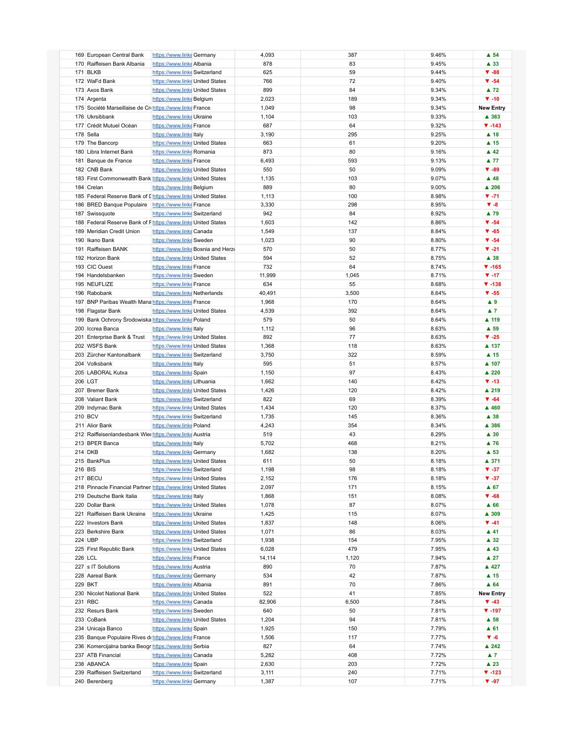| 169 European Central Bank                                      | https://www.linke Germany                                  |                                    | 4,093          | 387   | 9.46%          | $\blacktriangle$ 54      |
|----------------------------------------------------------------|------------------------------------------------------------|------------------------------------|----------------|-------|----------------|--------------------------|
|                                                                |                                                            |                                    |                |       |                |                          |
| 170 Raiffeisen Bank Albania                                    | https://www.linke Albania                                  |                                    | 878            | 83    | 9.45%          | ▲ 33                     |
| 171 BLKB                                                       | https://www.linke Switzerland                              |                                    | 625            | 59    | 9.44%          | $\Psi - 88$              |
|                                                                |                                                            |                                    |                |       |                |                          |
| 172 WaFd Bank                                                  | https://www.linke United States                            |                                    | 766            | 72    | 9.40%          | $\Psi - 54$              |
| 173 Axos Bank                                                  | https://www.linke United States                            |                                    | 899            | 84    | 9.34%          | $\blacktriangle$ 72      |
| 174 Argenta                                                    | https://www.linke Belgium                                  |                                    | 2,023          | 189   | 9.34%          | $\Psi - 10$              |
|                                                                |                                                            |                                    |                |       |                |                          |
| 175 Société Marseillaise de Cri https://www.linke France       |                                                            |                                    | 1,049          | 98    | 9.34%          | <b>New Entry</b>         |
| 176 Ukrsibbank                                                 | https://www.linke Ukraine                                  |                                    | 1,104          | 103   | 9.33%          | ▲ 363                    |
|                                                                |                                                            |                                    |                |       |                |                          |
| 177 Crédit Mutuel Océan                                        | https://www.linke France                                   |                                    | 687            | 64    | 9.32%          | $V - 143$                |
| 178 Sella                                                      | https://www.linkeltaly                                     |                                    | 3,190          | 295   | 9.25%          | $\blacktriangle$ 18      |
| 179 The Bancorp                                                | https://www.linke United States                            |                                    | 663            | 61    | 9.20%          | $\blacktriangle$ 15      |
|                                                                |                                                            |                                    |                |       |                |                          |
| 180 Libra Internet Bank                                        | https://www.linke Romania                                  |                                    | 873            | 80    | 9.16%          | $\blacktriangle$ 42      |
| 181 Banque de France                                           | https://www.linke France                                   |                                    | 6,493          | 593   | 9.13%          | $\blacktriangle$ 77      |
| 182 CNB Bank                                                   | https://www.linke United States                            |                                    | 550            | 50    | 9.09%          | $\Psi - 89$              |
|                                                                |                                                            |                                    |                |       |                |                          |
| 183 First Commonwealth Bank https://www.linke United States    |                                                            |                                    | 1,135          | 103   | 9.07%          | $\blacktriangle$ 48      |
| 184 Crelan                                                     | https://www.linke Belgium                                  |                                    | 889            | 80    | 9.00%          | $\blacktriangle$ 206     |
|                                                                |                                                            |                                    |                |       |                |                          |
| 185 Federal Reserve Bank of I https://www.linke United States  |                                                            |                                    | 1,113          | 100   | 8.98%          | $V - 71$                 |
| 186 BRED Banque Populaire https://www.linke France             |                                                            |                                    | 3,330          | 298   | 8.95%          | $V - 8$                  |
| 187 Swissquote                                                 | https://www.linke Switzerland                              |                                    | 942            | 84    | 8.92%          | ▲ 79                     |
|                                                                |                                                            |                                    |                |       |                |                          |
| 188 Federal Reserve Bank of Fhttps://www.linke United States   |                                                            |                                    | 1,603          | 142   | 8.86%          | $\Psi - 54$              |
| 189 Meridian Credit Union                                      | https://www.linke Canada                                   |                                    | 1,549          | 137   | 8.84%          | $\Psi - 65$              |
|                                                                |                                                            |                                    |                |       |                |                          |
| 190 Ikano Bank                                                 | https://www.linke Sweden                                   |                                    | 1,023          | 90    | 8.80%          | $\blacktriangledown$ -54 |
| 191 Raiffeisen BANK                                            |                                                            | https://www.linke Bosnia and Herze | 570            | 50    | 8.77%          | $V - 21$                 |
| 192 Horizon Bank                                               |                                                            |                                    | 594            | 52    | 8.75%          | $\blacktriangle$ 38      |
|                                                                | https://www.linke United States                            |                                    |                |       |                |                          |
| 193 CIC Ouest                                                  | https://www.linke France                                   |                                    | 732            | 64    | 8.74%          | $V - 165$                |
| 194 Handelsbanken                                              | https://www.linke Sweden                                   |                                    | 11,999         | 1,045 | 8.71%          | $\Psi - 17$              |
|                                                                |                                                            |                                    |                |       |                |                          |
| 195 NEUFLIZE                                                   | https://www.linke France                                   |                                    | 634            | 55    | 8.68%          | $\Psi - 138$             |
| 196 Rabobank                                                   | https://www.linke Netherlands                              |                                    | 40,491         | 3,500 | 8.64%          | $V - 55$                 |
|                                                                |                                                            |                                    |                |       |                |                          |
| 197 BNP Paribas Wealth Mana https://www.linke France           |                                                            |                                    | 1,968          | 170   | 8.64%          | A9                       |
| 198 Flagstar Bank                                              | https://www.linke United States                            |                                    | 4,539          | 392   | 8.64%          | $\blacktriangle$ 7       |
| 199 Bank Ochrony Środowiska https://www.linke Poland           |                                                            |                                    | 579            | 50    | 8.64%          | ▲ 119                    |
|                                                                |                                                            |                                    |                |       |                |                          |
| 200 Iccrea Banca                                               | https://www.linkeltaly                                     |                                    | 1,112          | 96    | 8.63%          | $\blacktriangle$ 59      |
| 201 Enterprise Bank & Trust                                    | https://www.linke United States                            |                                    | 892            | 77    | 8.63%          | $V - 25$                 |
|                                                                |                                                            |                                    | 1,368          | 118   | 8.63%          | ▲ 137                    |
| 202 WSFS Bank                                                  | https://www.linke United States                            |                                    |                |       |                |                          |
| 203 Zürcher Kantonalbank                                       | https://www.linke Switzerland                              |                                    | 3,750          | 322   | 8.59%          | $\blacktriangle$ 15      |
| 204 Volksbank                                                  | https://www.linkeltaly                                     |                                    | 595            | 51    | 8.57%          | ▲ 107                    |
|                                                                |                                                            |                                    |                |       |                |                          |
| 205 LABORAL Kutxa                                              | https://www.linke Spain                                    |                                    | 1,150          | 97    | 8.43%          | ▲ 220                    |
| 206 LGT                                                        | https://www.linke Lithuania                                |                                    | 1,662          | 140   | 8.42%          | $\Psi - 13$              |
| 207 Bremer Bank                                                |                                                            |                                    | 1,426          | 120   | 8.42%          | ▲ 219                    |
|                                                                | https://www.linke United States                            |                                    |                |       |                |                          |
| 208 Valiant Bank                                               | https://www.linke Switzerland                              |                                    | 822            | 69    | 8.39%          | $\Psi - 64$              |
| 209 Indymac Bank                                               | https://www.linke United States                            |                                    | 1,434          | 120   | 8.37%          | ▲ 460                    |
|                                                                |                                                            |                                    |                |       |                |                          |
| 210 BCV                                                        | https://www.linke Switzerland                              |                                    | 1,735          | 145   | 8.36%          | ▲ 38                     |
| 211 Alior Bank                                                 | https://www.linke Poland                                   |                                    | 4,243          | 354   | 8.34%          | ▲ 386                    |
| 212 Raiffeisenlandesbank Wier https://www.linke Austria        |                                                            |                                    | 519            | 43    | 8.29%          | $\blacktriangle$ 30      |
|                                                                |                                                            |                                    |                |       |                |                          |
| 213 BPER Banca                                                 | https://www.linkeltaly                                     |                                    | 5,702          | 468   | 8.21%          | $\blacktriangle$ 76      |
| 214 DKB                                                        | https://www.linke Germany                                  |                                    | 1,682          | 138   | 8.20%          | $\blacktriangle$ 53      |
|                                                                |                                                            |                                    |                |       |                |                          |
| 215 BankPlus                                                   | https://www.linke United States                            |                                    | 611            | 50    | 8.18%          | ▲ 371                    |
| 216 BIS                                                        | https://www.linke Switzerland                              |                                    | 1,198          | 98    | 8.18%          | $\Psi - 37$              |
| 217 BECU                                                       |                                                            |                                    |                | 176   | 8.18%          | $\Psi - 37$              |
|                                                                | https://www.linke United States                            |                                    | 2,152          |       |                |                          |
| 218 Pinnacle Financial Partner https://www.linke United States |                                                            |                                    | 2,097          | 171   | 8.15%          | $A$ 67                   |
| 219 Deutsche Bank Italia                                       | https://www.linkeltaly                                     |                                    | 1,868          | 151   | 8.08%          | $\Psi - 68$              |
|                                                                |                                                            |                                    |                |       |                |                          |
| 220 Dollar Bank                                                | https://www.linke United States                            |                                    | 1,078          | 87    | 8.07%          | ▲ 66                     |
| 221 Raiffeisen Bank Ukraine                                    | https://www.linke Ukraine                                  |                                    | 1,425          | 115   | 8.07%          | ▲ 309                    |
| 222 Investors Bank                                             | https://www.linke United States                            |                                    | 1,837          | 148   | 8.06%          | $\Psi - 41$              |
|                                                                |                                                            |                                    |                |       |                |                          |
| 223 Berkshire Bank                                             | https://www.linke United States                            |                                    | 1,071          | 86    | 8.03%          | $\blacktriangle$ 41      |
|                                                                |                                                            |                                    | 1,938          |       | 7.95%          | $\blacktriangle$ 32      |
| 224 UBP                                                        | https://www.linke Switzerland                              |                                    |                | 154   |                |                          |
|                                                                |                                                            |                                    |                |       |                |                          |
| 225 First Republic Bank                                        | https://www.linke United States                            |                                    | 6,028          | 479   | 7.95%          | $\blacktriangle$ 43      |
| <b>226 LCL</b>                                                 | https://www.linke France                                   |                                    | 14,114         | 1,120 | 7.94%          | $\blacktriangle$ 27      |
|                                                                |                                                            |                                    |                |       |                |                          |
| 227 s IT Solutions                                             | https://www.linke Austria                                  |                                    | 890            | 70    | 7.87%          | ▲ 427                    |
| 228 Aareal Bank                                                | https://www.linke Germany                                  |                                    | 534            | 42    | 7.87%          | $\blacktriangle$ 15      |
|                                                                |                                                            |                                    |                |       |                |                          |
| 229 BKT                                                        | https://www.linke Albania                                  |                                    | 891            | 70    | 7.86%          | $\triangle$ 64           |
| 230 Nicolet National Bank                                      | https://www.linke United States                            |                                    | 522            | 41    | 7.85%          | <b>New Entry</b>         |
| 231 RBC                                                        | https://www.linke Canada                                   |                                    | 82,906         | 6,500 | 7.84%          | $\Psi - 43$              |
|                                                                |                                                            |                                    |                |       |                |                          |
| 232 Resurs Bank                                                | https://www.linke Sweden                                   |                                    | 640            | 50    | 7.81%          | $V - 197$                |
| 233 CoBank                                                     | https://www.linke United States                            |                                    | 1,204          | 94    | 7.81%          | $\blacktriangle$ 58      |
|                                                                |                                                            |                                    |                |       |                |                          |
| 234 Unicaja Banco                                              | https://www.linke Spain                                    |                                    | 1,925          | 150   | 7.79%          | $A$ 61                   |
| 235 Banque Populaire Rives de https://www.linke France         |                                                            |                                    | 1,506          | 117   | 7.77%          | $V - 6$                  |
| 236 Komercijalna banka Beogr https://www.linke Serbia          |                                                            |                                    | 827            | 64    | 7.74%          | ▲ 242                    |
|                                                                |                                                            |                                    |                |       |                |                          |
| 237 ATB Financial                                              | https://www.linke Canada                                   |                                    | 5,282          | 408   | 7.72%          | $\blacktriangle$ 7       |
| 238 ABANCA                                                     | https://www.linke Spain                                    |                                    | 2,630          | 203   | 7.72%          | $\blacktriangle$ 23      |
|                                                                |                                                            |                                    |                | 240   |                |                          |
| 239 Raiffeisen Switzerland<br>240 Berenberg                    | https://www.linke Switzerland<br>https://www.linke Germany |                                    | 3,111<br>1,387 | 107   | 7.71%<br>7.71% | $V - 123$<br>$\Psi - 97$ |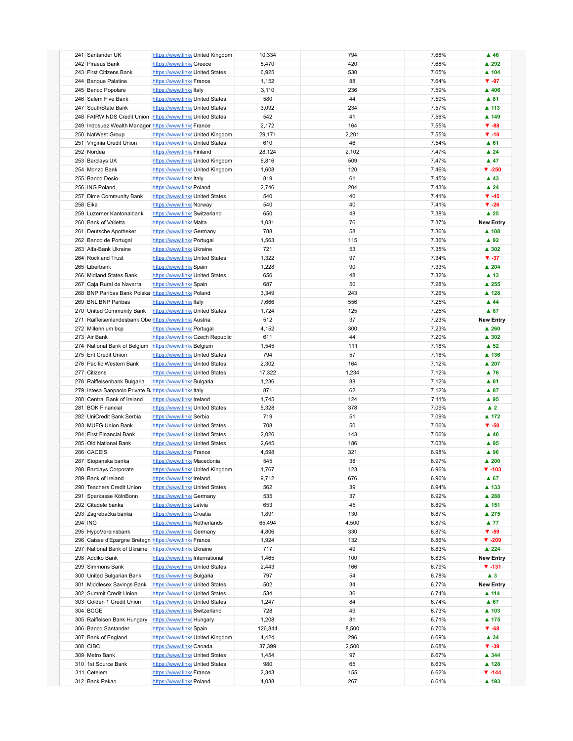| 241 Santander UK                                           | https://www.linke United Kingdom | 10,334  | 794   | 7.68% | $\blacktriangle$ 46  |
|------------------------------------------------------------|----------------------------------|---------|-------|-------|----------------------|
| 242 Piraeus Bank                                           | https://www.linke Greece         | 5,470   | 420   | 7.68% | ▲ 292                |
| 243 First Citizens Bank                                    | https://www.linke United States  | 6,925   | 530   | 7.65% | $\blacktriangle$ 104 |
| 244 Banque Palatine                                        | https://www.linke France         | 1,152   | 88    | 7.64% | $\Psi - 97$          |
|                                                            |                                  |         | 236   | 7.59% | ▲ 406                |
| 245 Banco Popolare                                         | https://www.linke Italy          | 3,110   |       |       |                      |
| 246 Salem Five Bank                                        | https://www.linke United States  | 580     | 44    | 7.59% | ▲ 81                 |
| 247 SouthState Bank                                        | https://www.linke United States  | 3,092   | 234   | 7.57% | ▲ 113                |
| 248 FAIRWINDS Credit Union https://www.linke United States |                                  | 542     | 41    | 7.56% | ▲ 149                |
| 249 Indosuez Wealth Managen https://www.linke France       |                                  | 2,172   | 164   | 7.55% | $\Psi - 88$          |
| 250 NatWest Group                                          | https://www.linke United Kingdom | 29,171  | 2,201 | 7.55% | $\Psi - 10$          |
| 251 Virginia Credit Union                                  | https://www.linke United States  | 610     | 46    | 7.54% | $A$ 61               |
|                                                            |                                  |         |       |       |                      |
| 252 Nordea                                                 | https://www.linke Finland        | 28,124  | 2,102 | 7.47% | $\blacktriangle$ 24  |
| 253 Barclays UK                                            | https://www.linke United Kingdom | 6,816   | 509   | 7.47% | $\blacktriangle$ 47  |
| 254 Monzo Bank                                             | https://www.linke United Kingdom | 1,608   | 120   | 7.46% | $V - 250$            |
| 255 Banco Desio                                            | https://www.linkeltaly           | 819     | 61    | 7.45% | $\blacktriangle$ 43  |
| 256 ING Poland                                             | https://www.linke Poland         | 2,746   | 204   | 7.43% | $\blacktriangle$ 24  |
| 257 Dime Community Bank                                    | https://www.linke United States  | 540     | 40    | 7.41% | $\Psi - 45$          |
| 258 Eika                                                   |                                  | 540     | 40    | 7.41% | $V - 26$             |
|                                                            | https://www.linke Norway         |         |       |       |                      |
| 259 Luzerner Kantonalbank                                  | https://www.linke Switzerland    | 650     | 48    | 7.38% | $\blacktriangle$ 25  |
| 260 Bank of Valletta                                       | https://www.linke Malta          | 1,031   | 76    | 7.37% | <b>New Entry</b>     |
| 261 Deutsche Apotheker                                     | https://www.linke Germany        | 788     | 58    | 7.36% | ▲ 108                |
| 262 Banco de Portugal                                      | https://www.linke Portugal       | 1,563   | 115   | 7.36% | $\blacktriangle$ 92  |
| 263 Alfa-Bank Ukraine                                      | https://www.linke Ukraine        | 721     | 53    | 7.35% | ▲ 302                |
| 264 Rockland Trust                                         | https://www.linke United States  | 1,322   | 97    | 7.34% | $V - 37$             |
|                                                            |                                  |         |       |       |                      |
| 265 Liberbank                                              | https://www.linke Spain          | 1,228   | 90    | 7.33% | ▲ 204                |
| 266 Midland States Bank                                    | https://www.linke United States  | 656     | 48    | 7.32% | $\blacktriangle$ 13  |
| 267 Caja Rural de Navarra                                  | https://www.linke Spain          | 687     | 50    | 7.28% | ▲ 255                |
| 268 BNP Paribas Bank Polska https://www.linke Poland       |                                  | 3,349   | 243   | 7.26% | ▲ 128                |
| 269 BNL BNP Paribas                                        | https://www.linke Italy          | 7,666   | 556   | 7.25% | $\blacktriangle$ 44  |
|                                                            |                                  |         |       |       | ▲ 87                 |
| 270 United Community Bank                                  | https://www.linke United States  | 1,724   | 125   | 7.25% |                      |
| 271 Raiffeisenlandesbank Obe https://www.linke Austria     |                                  | 512     | 37    | 7.23% | <b>New Entry</b>     |
| 272 Millennium bcp                                         | https://www.linke Portugal       | 4,152   | 300   | 7.23% | ▲ 260                |
| 273 Air Bank                                               | https://www.linke Czech Republic | 611     | 44    | 7.20% | ▲ 302                |
| 274 National Bank of Belgium https://www.linke Belgium     |                                  | 1,545   | 111   | 7.18% | $\triangle$ 52       |
| 275 Ent Credit Union                                       | https://www.linke United States  | 794     | 57    | 7.18% | ▲ 136                |
|                                                            |                                  |         | 164   |       | ▲ 207                |
| 276 Pacific Western Bank                                   | https://www.linke United States  | 2,302   |       | 7.12% |                      |
| 277 Citizens                                               | https://www.linke United States  | 17,322  | 1,234 | 7.12% | $\blacktriangle$ 76  |
| 278 Raiffeisenbank Bulgaria                                | https://www.linke Bulgaria       | 1,236   | 88    | 7.12% | ▲ 81                 |
| 279 Intesa Sanpaolo Private B: https://www.linkeltaly      |                                  | 871     | 62    | 7.12% | ▲ 87                 |
| 280 Central Bank of Ireland                                | https://www.linkelreland         | 1,745   | 124   | 7.11% | ▲ 95                 |
| 281 BOK Financial                                          | https://www.linke United States  | 5,328   | 378   | 7.09% | $\blacktriangle$ 2   |
| 282 UniCredit Bank Serbia                                  | https://www.linke Serbia         | 719     | 51    | 7.09% | ▲ 172                |
|                                                            |                                  |         |       |       |                      |
| 283 MUFG Union Bank                                        | https://www.linke United States  | 708     | 50    | 7.06% | $\Psi - 50$          |
| 284 First Financial Bank                                   | https://www.linke United States  | 2,026   | 143   | 7.06% | $\blacktriangle$ 40  |
| 285 Old National Bank                                      | https://www.linke United States  | 2,645   | 186   | 7.03% | ▲ 95                 |
| 286 CACEIS                                                 | https://www.linke France         | 4,598   | 321   | 6.98% | ▲ 96                 |
| 287 Stopanska banka                                        | https://www.linke Macedonia      | 545     | 38    | 6.97% | $\blacktriangle$ 200 |
| 288 Barclays Corporate                                     | https://www.linke United Kingdom | 1,767   | 123   | 6.96% | $\Psi - 103$         |
|                                                            |                                  |         |       |       |                      |
| 289 Bank of Ireland                                        | https://www.linkelreland         | 9,712   | 676   | 6.96% | $\blacktriangle$ 67  |
| 290 Teachers Credit Union                                  | https://www.linke United States  | 562     | 39    | 6.94% | ▲ 133                |
| 291 Sparkasse KölnBonn                                     | https://www.linke Germany        | 535     | 37    | 6.92% | ▲ 288                |
| 292 Citadele banka                                         | https://www.linke Latvia         | 653     | 45    | 6.89% | ▲ 151                |
| 293 Zagrebačka banka                                       | https://www.linke Croatia        | 1,891   | 130   | 6.87% | ▲ 275                |
| 294 ING                                                    | https://www.linke Netherlands    | 65,494  | 4,500 | 6.87% | $\blacktriangle$ 77  |
| 295 HypoVereinsbank                                        |                                  |         | 330   | 6.87% | $\Psi - 59$          |
|                                                            | https://www.linke Germany        | 4,806   |       |       |                      |
| 296 Caisse d'Epargne Bretagn https://www.linke France      |                                  | 1,924   | 132   | 6.86% | $\Psi - 209$         |
| 297 National Bank of Ukraine                               | https://www.linke Ukraine        | 717     | 49    | 6.83% | $\triangle$ 224      |
| 298 Addiko Bank                                            | https://www.linkelnternational   | 1,465   | 100   | 6.83% | <b>New Entry</b>     |
| 299 Simmons Bank                                           | https://www.linke United States  | 2,443   | 166   | 6.79% | $V - 131$            |
| 300 United Bulgarian Bank                                  | https://www.linke Bulgaria       | 797     | 54    | 6.78% | $\blacktriangle$ 3   |
| 301 Middlesex Savings Bank                                 | https://www.linke United States  | 502     | 34    | 6.77% | <b>New Entry</b>     |
|                                                            |                                  |         |       |       |                      |
| 302 Summit Credit Union                                    | https://www.linke United States  | 534     | 36    | 6.74% | ▲ 114                |
| 303 Golden 1 Credit Union                                  | https://www.linke United States  | 1,247   | 84    | 6.74% | $\triangle$ 67       |
| 304 BCGE                                                   | https://www.linke Switzerland    | 728     | 49    | 6.73% | $\blacktriangle$ 103 |
| 305 Raiffeisen Bank Hungary                                | https://www.linke Hungary        | 1,208   | 81    | 6.71% | ▲ 175                |
| 306 Banco Santander                                        | https://www.linke Spain          | 126,844 | 8,500 | 6.70% | $\Psi - 68$          |
| 307 Bank of England                                        | https://www.linke United Kingdom | 4,424   | 296   | 6.69% | $\blacktriangle$ 34  |
|                                                            |                                  |         |       |       |                      |
| 308 CIBC                                                   | https://www.linke Canada         | 37,399  | 2,500 | 6.68% | $V - 39$             |
| 309 Metro Bank                                             | https://www.linke United States  | 1,454   | 97    | 6.67% | ▲ 344                |
| 310 1st Source Bank                                        | https://www.linke United States  | 980     | 65    | 6.63% | $\blacktriangle$ 128 |
| 311 Cetelem                                                | https://www.linke France         | 2,343   | 155   | 6.62% | $\P$ -144            |
| 312 Bank Pekao                                             | https://www.linke Poland         | 4,038   | 267   | 6.61% | ▲ 193                |
|                                                            |                                  |         |       |       |                      |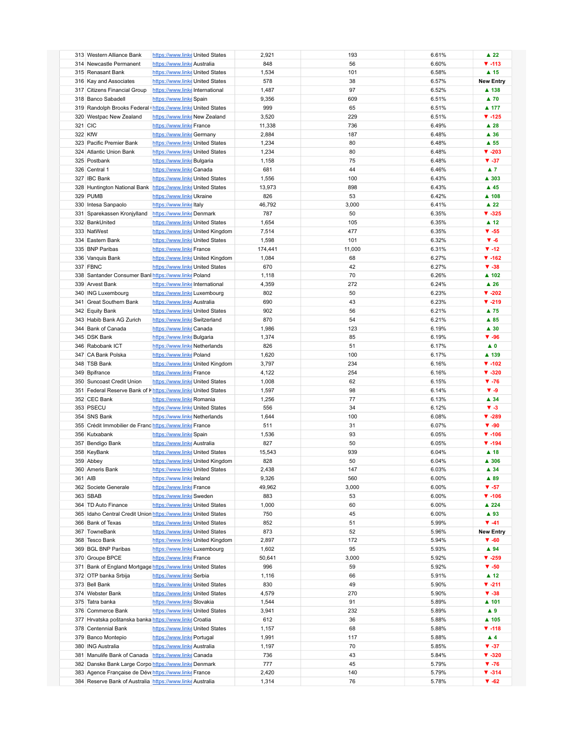| 313 Western Alliance Bank                                                                                          | https://www.linke United States |                                  | 2,921          | 193    | 6.61%          | $\blacktriangle$ 22      |
|--------------------------------------------------------------------------------------------------------------------|---------------------------------|----------------------------------|----------------|--------|----------------|--------------------------|
| 314 Newcastle Permanent                                                                                            | https://www.linke Australia     |                                  | 848            | 56     | 6.60%          | $\Psi - 113$             |
| 315 Renasant Bank                                                                                                  | https://www.linke United States |                                  | 1,534          | 101    | 6.58%          | $\blacktriangle$ 15      |
|                                                                                                                    |                                 |                                  |                |        |                |                          |
| 316 Kay and Associates                                                                                             | https://www.linke United States |                                  | 578            | 38     | 6.57%          | <b>New Entry</b>         |
| 317 Citizens Financial Group                                                                                       | https://www.linkelnternational  |                                  | 1,487          | 97     | 6.52%          | ▲ 138                    |
| 318 Banco Sabadell                                                                                                 | https://www.linke Spain         |                                  | 9,356          | 609    | 6.51%          | $\blacktriangle$ 70      |
| 319 Randolph Brooks Federal Inttps://www.linke United States                                                       |                                 |                                  | 999            | 65     | 6.51%          | ▲ 177                    |
|                                                                                                                    |                                 |                                  |                |        |                |                          |
| 320 Westpac New Zealand                                                                                            | https://www.linke New Zealand   |                                  | 3,520          | 229    | 6.51%          | $\P$ -125                |
| 321 CIC                                                                                                            | https://www.linke France        |                                  | 11,338         | 736    | 6.49%          | $\blacktriangle$ 28      |
|                                                                                                                    |                                 |                                  |                |        |                |                          |
| 322 KfW                                                                                                            | https://www.linke Germany       |                                  | 2,884          | 187    | 6.48%          | ▲ 36                     |
| 323 Pacific Premier Bank                                                                                           | https://www.linke United States |                                  | 1,234          | 80     | 6.48%          | $\blacktriangle$ 55      |
| 324 Atlantic Union Bank                                                                                            | https://www.linke United States |                                  | 1,234          | 80     | 6.48%          | $\Psi - 203$             |
|                                                                                                                    |                                 |                                  |                |        |                |                          |
| 325 Postbank                                                                                                       | https://www.linke Bulgaria      |                                  | 1,158          | 75     | 6.48%          | $V - 37$                 |
| 326 Central 1                                                                                                      | https://www.linke Canada        |                                  | 681            | 44     | 6.46%          | $\blacktriangle$ 7       |
| 327 IBC Bank                                                                                                       | https://www.linke United States |                                  | 1,556          | 100    | 6.43%          | ▲ 303                    |
|                                                                                                                    |                                 |                                  |                |        |                |                          |
| 328 Huntington National Bank https://www.linke United States                                                       |                                 |                                  | 13,973         | 898    | 6.43%          | $\blacktriangle$ 45      |
| 329 PUMB                                                                                                           | https://www.linke Ukraine       |                                  | 826            | 53     | 6.42%          | ▲ 108                    |
|                                                                                                                    |                                 |                                  | 46,792         | 3,000  | 6.41%          | $\blacktriangle$ 22      |
| 330 Intesa Sanpaolo                                                                                                | https://www.linke Italy         |                                  |                |        |                |                          |
| 331 Sparekassen Kronjylland                                                                                        | https://www.linke Denmark       |                                  | 787            | 50     | 6.35%          | $V - 325$                |
| 332 BankUnited                                                                                                     | https://www.linke United States |                                  | 1,654          | 105    | 6.35%          | $\blacktriangle$ 12      |
|                                                                                                                    |                                 |                                  |                |        |                |                          |
| 333 NatWest                                                                                                        |                                 | https://www.linke United Kingdom | 7,514          | 477    | 6.35%          | $V - 55$                 |
| 334 Eastern Bank                                                                                                   | https://www.linke United States |                                  | 1,598          | 101    | 6.32%          | $\Psi - 6$               |
| 335 BNP Paribas                                                                                                    | https://www.linke France        |                                  | 174,441        | 11,000 | 6.31%          | $\P$ -12                 |
|                                                                                                                    |                                 |                                  |                |        |                |                          |
| 336 Vanquis Bank                                                                                                   |                                 | https://www.linke United Kingdom | 1,084          | 68     | 6.27%          | $\Psi - 162$             |
| 337 FBNC                                                                                                           | https://www.linke United States |                                  | 670            | 42     | 6.27%          | $V - 38$                 |
|                                                                                                                    |                                 |                                  |                |        |                |                          |
| 338 Santander Consumer Banl https://www.linke Poland                                                               |                                 |                                  | 1,118          | 70     | 6.26%          | ▲ 102                    |
| 339 Arvest Bank                                                                                                    | https://www.linkelnternational  |                                  | 4,359          | 272    | 6.24%          | $\blacktriangle$ 26      |
| 340 ING Luxembourg                                                                                                 | https://www.linkeLuxembourg     |                                  | 802            | 50     | 6.23%          | $V - 202$                |
|                                                                                                                    |                                 |                                  |                |        |                |                          |
| 341 Great Southern Bank                                                                                            | https://www.linke Australia     |                                  | 690            | 43     | 6.23%          | $V - 219$                |
| 342 Equity Bank                                                                                                    | https://www.linke United States |                                  | 902            | 56     | 6.21%          | ▲ 75                     |
|                                                                                                                    |                                 |                                  |                |        |                |                          |
| 343 Habib Bank AG Zurich                                                                                           | https://www.linke Switzerland   |                                  | 870            | 54     | 6.21%          | $A$ 85                   |
| 344 Bank of Canada                                                                                                 | https://www.linkecanada         |                                  | 1,986          | 123    | 6.19%          | $\blacktriangle$ 30      |
| 345 DSK Bank                                                                                                       | https://www.linke Bulgaria      |                                  | 1,374          | 85     | 6.19%          | $\Psi - 96$              |
|                                                                                                                    |                                 |                                  |                |        |                |                          |
| 346 Rabobank ICT                                                                                                   | https://www.linke Netherlands   |                                  | 826            | 51     | 6.17%          | $\blacktriangle$ 0       |
| 347 CA Bank Polska                                                                                                 | https://www.linke Poland        |                                  | 1,620          | 100    | 6.17%          | ▲ 139                    |
| 348 TSB Bank                                                                                                       |                                 |                                  | 3,797          | 234    | 6.16%          | $\Psi - 102$             |
|                                                                                                                    |                                 | https://www.linke United Kingdom |                |        |                |                          |
| 349 Bpifrance                                                                                                      | https://www.linke France        |                                  | 4,122          | 254    | 6.16%          | $\Psi - 320$             |
| 350 Suncoast Credit Union                                                                                          | https://www.linke United States |                                  | 1,008          | 62     | 6.15%          | $\Psi - 76$              |
|                                                                                                                    |                                 |                                  |                |        |                |                          |
| 351 Federal Reserve Bank of Khttps://www.linke United States                                                       |                                 |                                  | 1,597          | 98     | 6.14%          | $V - 9$                  |
| 352 CEC Bank                                                                                                       | https://www.linke Romania       |                                  | 1,256          | 77     | 6.13%          | ▲ 34                     |
| 353 PSECU                                                                                                          | https://www.linke United States |                                  | 556            | 34     | 6.12%          | $V - 3$                  |
|                                                                                                                    |                                 |                                  |                |        |                |                          |
| 354 SNS Bank                                                                                                       | https://www.linke Netherlands   |                                  | 1,644          | 100    | 6.08%          | $\Psi - 289$             |
| 355 Crédit Immobilier de Franc https://www.linke France                                                            |                                 |                                  | 511            | 31     | 6.07%          | $\Psi - 90$              |
|                                                                                                                    |                                 |                                  |                |        |                |                          |
| 356 Kutxabank                                                                                                      | https://www.linke Spain         |                                  | 1,536          | 93     | 6.05%          | $\Psi - 106$             |
| 357 Bendigo Bank                                                                                                   | https://www.linke Australia     |                                  | 827            | 50     | 6.05%          | $\Psi - 194$             |
| 358 KeyBank                                                                                                        | https://www.linke United States |                                  | 15,543         | 939    | 6.04%          | $\blacktriangle$ 18      |
|                                                                                                                    |                                 |                                  |                |        |                |                          |
| 359 Abbey                                                                                                          |                                 | https://www.linke United Kingdom | 828            | 50     | 6.04%          | ▲ 306                    |
| 360 Ameris Bank                                                                                                    | https://www.linke United States |                                  | 2,438          | 147    | 6.03%          | $\blacktriangle$ 34      |
|                                                                                                                    |                                 |                                  |                |        |                |                          |
| 361 AIB                                                                                                            | https://www.linkelreland        |                                  | 9,326          | 560    | 6.00%          | ▲ 89                     |
| 362 Societe Generale                                                                                               | https://www.linke France        |                                  | 49,962         | 3,000  | 6.00%          | $V - 57$                 |
| 363 SBAB                                                                                                           | https://www.linke Sweden        |                                  | 883            | 53     | 6.00%          | $\Psi - 106$             |
|                                                                                                                    |                                 |                                  |                |        |                |                          |
| 364 TD Auto Finance                                                                                                | https://www.linke United States |                                  | 1,000          | 60     | 6.00%          | ▲ 224                    |
| 365 Idaho Central Credit Union https://www.linke United States                                                     |                                 |                                  | 750            | 45     | 6.00%          | ▲ 93                     |
|                                                                                                                    |                                 |                                  |                |        |                |                          |
| 366 Bank of Texas                                                                                                  | https://www.linke United States |                                  | 852            | 51     | 5.99%          | $\Psi - 41$              |
| 367 TowneBank                                                                                                      | https://www.linke United States |                                  | 873            | 52     | 5.96%          | <b>New Entry</b>         |
| 368 Tesco Bank                                                                                                     |                                 | https://www.linke United Kingdom | 2,897          | 172    | 5.94%          | $\Psi - 60$              |
|                                                                                                                    |                                 |                                  |                |        |                |                          |
| 369 BGL BNP Paribas                                                                                                | https://www.linke Luxembourg    |                                  | 1,602          | 95     | 5.93%          | $\blacktriangle$ 94      |
| 370 Groupe BPCE                                                                                                    | https://www.linke France        |                                  | 50,641         | 3,000  | 5.92%          | $\Psi - 259$             |
| 371 Bank of England Mortgage https://www.linke United States                                                       |                                 |                                  | 996            | 59     | 5.92%          | $V - 50$                 |
|                                                                                                                    |                                 |                                  |                |        |                |                          |
| 372 OTP banka Srbija                                                                                               | https://www.linke Serbia        |                                  | 1,116          | 66     | 5.91%          | $\blacktriangle$ 12      |
| 373 Bell Bank                                                                                                      | https://www.linke United States |                                  | 830            | 49     | 5.90%          | $V - 211$                |
|                                                                                                                    |                                 |                                  |                |        |                |                          |
| 374 Webster Bank                                                                                                   | https://www.linke United States |                                  | 4,579          | 270    | 5.90%          | $\Psi - 38$              |
| 375 Tatra banka                                                                                                    | https://www.linke Slovakia      |                                  | 1,544          | 91     | 5.89%          | ▲ 101                    |
|                                                                                                                    | https://www.linke United States |                                  | 3,941          | 232    | 5.89%          | $\blacktriangle$ 9       |
| 376 Commerce Bank                                                                                                  |                                 |                                  |                |        |                |                          |
| 377 Hrvatska poštanska banka https://www.linke Croatia                                                             |                                 |                                  | 612            | 36     | 5.88%          | ▲ 105                    |
| 378 Centennial Bank                                                                                                | https://www.linke United States |                                  | 1,157          | 68     | 5.88%          | $\Psi - 118$             |
|                                                                                                                    |                                 |                                  |                |        |                |                          |
| 379 Banco Montepio                                                                                                 | https://www.linke Portugal      |                                  | 1,991          | 117    | 5.88%          | $\blacktriangle$ 4       |
| 380 ING Australia                                                                                                  | https://www.linke Australia     |                                  | 1,197          | 70     | 5.85%          | $\Psi - 37$              |
|                                                                                                                    |                                 |                                  |                |        |                |                          |
| 381 Manulife Bank of Canada https://www.linke Canada                                                               |                                 |                                  | 736            | 43     | 5.84%          | $V - 320$                |
| 382 Danske Bank Large Corpo https://www.linke Denmark                                                              |                                 |                                  | 777            | 45     | 5.79%          | $\Psi - 76$              |
|                                                                                                                    |                                 |                                  |                |        |                |                          |
|                                                                                                                    |                                 |                                  |                | 140    |                |                          |
| 383 Agence Française de Déve https://www.linke France<br>384 Reserve Bank of Australia https://www.linke Australia |                                 |                                  | 2,420<br>1,314 | 76     | 5.79%<br>5.78% | $V - 314$<br>$\Psi - 62$ |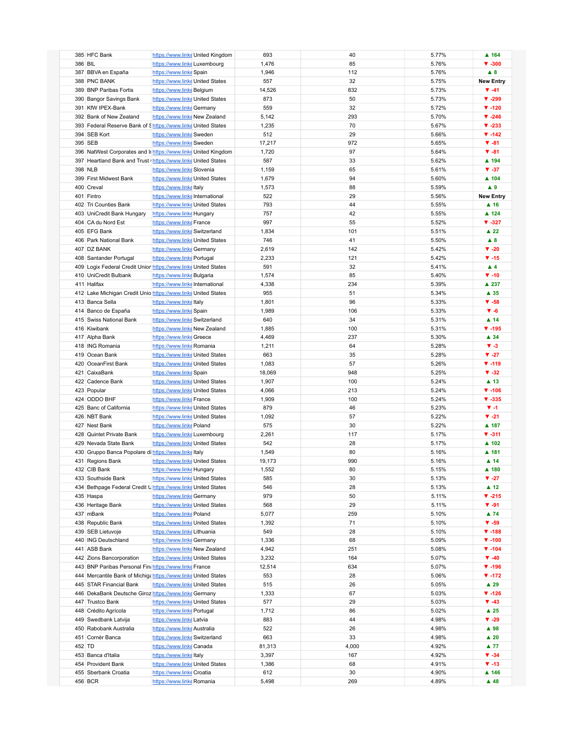| 385 HFC Bank                                           | https://www.linke United Kingdom                               | 693    | 40    | 5.77% | $\blacktriangle$ 164      |
|--------------------------------------------------------|----------------------------------------------------------------|--------|-------|-------|---------------------------|
| 386 BIL                                                | https://www.linke Luxembourg                                   | 1,476  | 85    | 5.76% | $\Psi - 300$              |
| 387 BBVA en España                                     | https://www.linke Spain                                        | 1,946  | 112   | 5.76% | $\triangle$ 8             |
| 388 PNC BANK                                           | https://www.linke United States                                | 557    | 32    | 5.75% | <b>New Entry</b>          |
| 389 BNP Paribas Fortis                                 | https://www.linke Belgium                                      | 14,526 | 832   | 5.73% | $\Psi - 41$               |
|                                                        |                                                                |        |       |       |                           |
| 390 Bangor Savings Bank                                | https://www.linke United States                                | 873    | 50    | 5.73% | $V - 299$                 |
| 391 KfW IPEX-Bank                                      | https://www.linke Germany                                      | 559    | 32    | 5.72% | $\P$ -120                 |
| 392 Bank of New Zealand                                | https://www.linke New Zealand                                  | 5,142  | 293   | 5.70% | $V - 246$                 |
|                                                        | 393 Federal Reserve Bank of Shttps://www.linke United States   | 1,235  | 70    | 5.67% | $V - 233$                 |
| 394 SEB Kort                                           | https://www.linke Sweden                                       | 512    | 29    | 5.66% | $\P$ -142                 |
| 395 SEB                                                | https://www.linke Sweden                                       | 17,217 | 972   | 5.65% | $\Psi - 81$               |
|                                                        | 396 NatWest Corporates and Ir https://www.linke United Kingdom | 1,720  | 97    | 5.64% | $\Psi - 81$               |
|                                                        |                                                                |        |       |       |                           |
|                                                        | 397 Heartland Bank and Trust (https://www.linke United States  | 587    | 33    | 5.62% | ▲ 194                     |
| 398 NLB                                                | https://www.linke Slovenia                                     | 1,159  | 65    | 5.61% | $\Psi - 37$               |
| 399 First Midwest Bank                                 | https://www.linke United States                                | 1,679  | 94    | 5.60% | $\blacktriangle$ 104      |
| 400 Creval                                             | https://www.linke Italy                                        | 1,573  | 88    | 5.59% | $\blacktriangle$ 9        |
| 401 Fintro                                             | https://www.linkelnternational                                 | 522    | 29    | 5.56% | <b>New Entry</b>          |
| 402 Tri Counties Bank                                  | https://www.linke United States                                | 793    | 44    | 5.55% | $\blacktriangle$ 16       |
| 403 UniCredit Bank Hungary                             | https://www.linke Hungary                                      | 757    | 42    | 5.55% | ▲ 124                     |
| 404 CA du Nord Est                                     | https://www.linke France                                       | 997    | 55    | 5.52% | $\blacktriangledown$ -327 |
|                                                        |                                                                |        |       |       |                           |
| 405 EFG Bank                                           | https://www.linke Switzerland                                  | 1,834  | 101   | 5.51% | $\blacktriangle$ 22       |
| 406 Park National Bank                                 | https://www.linke United States                                | 746    | 41    | 5.50% | $\triangle$ 8             |
| 407 DZ BANK                                            | https://www.linke Germany                                      | 2,619  | 142   | 5.42% | $V - 20$                  |
| 408 Santander Portugal                                 | https://www.linke Portugal                                     | 2,233  | 121   | 5.42% | $\Psi - 15$               |
|                                                        | 409 Logix Federal Credit Union https://www.linke United States | 591    | 32    | 5.41% | $\blacktriangle$ 4        |
| 410 UniCredit Bulbank                                  | https://www.linke Bulgaria                                     | 1,574  | 85    | 5.40% | $\Psi - 10$               |
| 411 Halifax                                            | https://www.linkelnternational                                 | 4,338  | 234   | 5.39% | ▲ 237                     |
|                                                        | 412 Lake Michigan Credit Unio https://www.linke United States  | 955    | 51    | 5.34% | $\blacktriangle$ 35       |
|                                                        |                                                                |        |       |       |                           |
| 413 Banca Sella                                        | https://www.linkeltaly                                         | 1,801  | 96    | 5.33% | $\Psi - 58$               |
| 414 Banco de España                                    | https://www.linke Spain                                        | 1,989  | 106   | 5.33% | $V - 6$                   |
| 415 Swiss National Bank                                | https://www.linke Switzerland                                  | 640    | 34    | 5.31% | $\blacktriangle$ 14       |
| 416 Kiwibank                                           | https://www.linke New Zealand                                  | 1,885  | 100   | 5.31% | $V - 195$                 |
| 417 Alpha Bank                                         | https://www.linke Greece                                       | 4,469  | 237   | 5.30% | ▲ 34                      |
| 418 ING Romania                                        | https://www.linke Romania                                      | 1,211  | 64    | 5.28% | $V - 3$                   |
| 419 Ocean Bank                                         | https://www.linke United States                                | 663    | 35    | 5.28% | $V - 27$                  |
| 420 OceanFirst Bank                                    | https://www.linke United States                                | 1,083  | 57    | 5.26% | $V - 119$                 |
|                                                        |                                                                |        |       |       |                           |
| 421 CaixaBank                                          | https://www.linke Spain                                        | 18,069 | 948   | 5.25% | $V - 32$                  |
| 422 Cadence Bank                                       | https://www.linke United States                                | 1,907  | 100   | 5.24% | $\blacktriangle$ 13       |
| 423 Popular                                            | https://www.linke United States                                | 4,066  | 213   | 5.24% | $V - 106$                 |
| 424 ODDO BHF                                           | https://www.linke France                                       | 1,909  | 100   | 5.24% | $V - 335$                 |
| 425 Banc of California                                 | https://www.linke United States                                | 879    | 46    | 5.23% | $V - 1$                   |
| 426 NBT Bank                                           | https://www.linke United States                                | 1,092  | 57    | 5.22% | $V - 21$                  |
| 427 Nest Bank                                          | https://www.linke Poland                                       | 575    | 30    | 5.22% | ▲ 187                     |
| 428 Quintet Private Bank                               | https://www.linke Luxembourg                                   | 2,261  | 117   | 5.17% | $V - 311$                 |
|                                                        |                                                                |        |       |       |                           |
| 429 Nevada State Bank                                  | https://www.linke United States                                | 542    | 28    | 5.17% | ▲ 102                     |
| 430 Gruppo Banca Popolare di https://www.linke Italy   |                                                                | 1,549  | 80    | 5.16% | ▲ 181                     |
| 431 Regions Bank                                       | https://www.linke United States                                | 19,173 | 990   | 5.16% | $\blacktriangle$ 14       |
| 432 CIB Bank                                           | https://www.linke Hungary                                      | 1,552  | 80    | 5.15% | $\blacktriangle$ 180      |
| 433 Southside Bank                                     | https://www.linke United States                                | 585    | 30    | 5.13% | $V - 27$                  |
|                                                        | 434 Bethpage Federal Credit Unttps://www.linkeUnited States    | 546    | 28    | 5.13% | $\blacktriangle$ 12       |
| 435 Haspa                                              | https://www.linke Germany                                      | 979    | 50    | 5.11% | $V - 215$                 |
| 436 Heritage Bank                                      | https://www.linke United States                                | 568    | 29    | 5.11% | $\Psi - 91$               |
| 437 mBank                                              | https://www.linke Poland                                       | 5,077  | 259   | 5.10% | $\blacktriangle$ 74       |
|                                                        |                                                                |        |       |       |                           |
| 438 Republic Bank                                      | https://www.linke United States                                | 1,392  | 71    | 5.10% | $\Psi - 59$               |
| 439 SEB Lietuvoje                                      | https://www.linke Lithuania                                    | 549    | 28    | 5.10% | $\Psi - 188$              |
| 440 ING Deutschland                                    | https://www.linke Germany                                      | 1,336  | 68    | 5.09% | $\Psi - 100$              |
| 441 ASB Bank                                           | https://www.linkeNew Zealand                                   | 4,942  | 251   | 5.08% | $V - 104$                 |
| 442 Zions Bancorporation                               | https://www.linke United States                                | 3,232  | 164   | 5.07% | $\Psi - 40$               |
| 443 BNP Paribas Personal Fin; https://www.linke France |                                                                | 12,514 | 634   | 5.07% | $\Psi - 196$              |
|                                                        | 444 Mercantile Bank of Michiga https://www.linke United States | 553    | 28    | 5.06% | $\Psi - 172$              |
| 445 STAR Financial Bank                                | https://www.linke United States                                | 515    | 26    | 5.05% | $\blacktriangle$ 29       |
|                                                        |                                                                |        |       |       |                           |
| 446 DekaBank Deutsche Giroz https://www.linke Germany  |                                                                | 1,333  | 67    | 5.03% | $V - 126$                 |
| 447 Trustco Bank                                       | https://www.linke United States                                | 577    | 29    | 5.03% | $\Psi - 43$               |
| 448 Crédito Agrícola                                   | https://www.linke Portugal                                     | 1,712  | 86    | 5.02% | $\blacktriangle$ 25       |
| 449 Swedbank Latvija                                   | https://www.linke Latvia                                       | 883    | 44    | 4.98% | $\blacktriangledown$ -29  |
| 450 Rabobank Australia                                 | https://www.linke Australia                                    | 522    | 26    | 4.98% | ▲ 98                      |
| 451 Cornèr Banca                                       | https://www.linke Switzerland                                  | 663    | 33    | 4.98% | $\blacktriangle$ 20       |
| 452 TD                                                 | https://www.linke Canada                                       | 81,313 | 4,000 | 4.92% | $\blacktriangle$ 77       |
| 453 Banca d'Italia                                     | https://www.linkeltaly                                         | 3,397  | 167   | 4.92% | $\Psi - 34$               |
| 454 Provident Bank                                     | https://www.linke United States                                |        | 68    | 4.91% | $\Psi - 13$               |
|                                                        |                                                                | 1,386  |       |       |                           |
| 455 Sberbank Croatia                                   | https://www.linke Croatia                                      | 612    | 30    | 4.90% | ▲ 146                     |
| 456 BCR                                                | https://www.linke Romania                                      | 5,498  | 269   | 4.89% | $\blacktriangle$ 48       |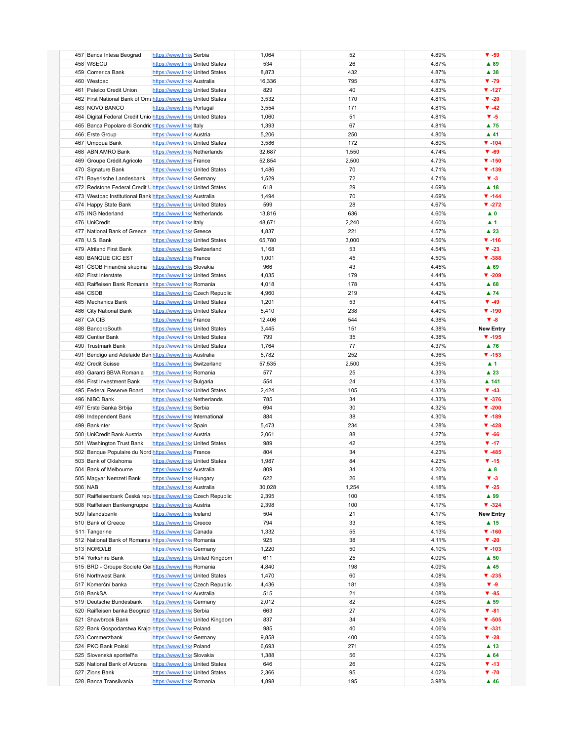| 457 Banca Intesa Beograd                                        | https://www.linke Serbia                                     | 1,064          | 52        | 4.89%          | $\Psi - 59$                        |
|-----------------------------------------------------------------|--------------------------------------------------------------|----------------|-----------|----------------|------------------------------------|
| 458 WSECU                                                       | https://www.linke United States                              | 534            | 26        | 4.87%          | ▲ 89                               |
|                                                                 |                                                              |                |           |                |                                    |
| 459 Comerica Bank                                               | https://www.linke United States                              | 8,873          | 432       | 4.87%          | $\blacktriangle$ 38                |
| 460 Westpac                                                     | https://www.linke Australia                                  | 16,336         | 795       | 4.87%          | $\Psi - 79$                        |
| 461 Patelco Credit Union                                        | https://www.linke United States                              | 829            | 40        | 4.83%          | $V - 127$                          |
| 462 First National Bank of Oma https://www.linke United States  |                                                              | 3,532          | 170       | 4.81%          | $V - 20$                           |
| 463 NOVO BANCO                                                  | https://www.linke Portugal                                   | 3,554          | 171       | 4.81%          | $\Psi - 42$                        |
| 464 Digital Federal Credit Unio https://www.linke United States |                                                              | 1,060          | 51        | 4.81%          | $V - 5$                            |
|                                                                 |                                                              |                |           |                |                                    |
| 465 Banca Popolare di Sondric https://www.linke Italy           |                                                              | 1,393          | 67        | 4.81%          | ▲ 75                               |
| 466 Erste Group                                                 | https://www.linke Austria                                    | 5,206          | 250       | 4.80%          | $\blacktriangle$ 41                |
| 467 Umpqua Bank                                                 | https://www.linke United States                              | 3,586          | 172       | 4.80%          | $V - 104$                          |
| 468 ABN AMRO Bank                                               | https://www.linke Netherlands                                | 32,687         | 1,550     | 4.74%          | $\Psi - 69$                        |
| 469 Groupe Crédit Agricole                                      | https://www.linke France                                     | 52,854         | 2,500     | 4.73%          | $V - 150$                          |
| 470 Signature Bank                                              | https://www.linke United States                              | 1,486          | 70        | 4.71%          | $V - 139$                          |
|                                                                 |                                                              |                |           |                |                                    |
| 471 Bayerische Landesbank                                       | https://www.linke Germany                                    | 1,529          | 72        | 4.71%          | $V - 3$                            |
| 472 Redstone Federal Credit U https://www.linke United States   |                                                              | 618            | 29        | 4.69%          | $\blacktriangle$ 18                |
| 473 Westpac Institutional Bank https://www.linke Australia      |                                                              | 1,494          | 70        | 4.69%          | $V - 144$                          |
| 474 Happy State Bank                                            | https://www.linke United States                              | 599            | 28        | 4.67%          | $V - 272$                          |
| 475 ING Nederland                                               | https://www.linke Netherlands                                | 13,816         | 636       | 4.60%          | $\blacktriangle$ 0                 |
| 476 UniCredit                                                   | https://www.linke Italy                                      | 48,671         | 2,240     | 4.60%          | $\blacktriangle$ 1                 |
|                                                                 |                                                              |                |           |                |                                    |
| 477 National Bank of Greece                                     | https://www.linke Greece                                     | 4,837          | 221       | 4.57%          | $\blacktriangle$ 23                |
| 478 U.S. Bank                                                   | https://www.linke United States                              | 65,780         | 3,000     | 4.56%          | $V - 116$                          |
| 479 Afriland First Bank                                         | https://www.linke Switzerland                                | 1,168          | 53        | 4.54%          | $V - 23$                           |
| 480 BANQUE CIC EST                                              | https://www.linke France                                     | 1,001          | 45        | 4.50%          | $V - 388$                          |
| 481 ČSOB Finančná skupina                                       | https://www.linke Slovakia                                   | 966            | 43        | 4.45%          | ▲ 69                               |
| 482 First Interstate                                            | https://www.linke United States                              | 4,035          | 179       | 4.44%          | $V - 209$                          |
|                                                                 |                                                              |                |           |                |                                    |
| 483 Raiffeisen Bank Romania https://www.linke Romania           |                                                              | 4,018          | 178       | 4.43%          | $A$ 68                             |
| 484 CSOB                                                        | https://www.linke Czech Republic                             | 4,960          | 219       | 4.42%          | ▲ 74                               |
| 485 Mechanics Bank                                              | https://www.linke United States                              | 1,201          | 53        | 4.41%          | $\Psi - 49$                        |
| 486 City National Bank                                          | https://www.linke United States                              | 5,410          | 238       | 4.40%          | $V - 190$                          |
| 487 CA CIB                                                      | https://www.linke France                                     | 12,406         | 544       | 4.38%          | $V - 8$                            |
| 488 BancorpSouth                                                | https://www.linke United States                              | 3,445          | 151       | 4.38%          | <b>New Entry</b>                   |
|                                                                 |                                                              |                |           |                |                                    |
| 489 Centier Bank                                                | https://www.linke United States                              | 799            | 35        | 4.38%          | $V - 195$                          |
| 490 Trustmark Bank                                              | https://www.linke United States                              | 1,764          | 77        | 4.37%          | ▲ 76                               |
| 491 Bendigo and Adelaide Ban https://www.linke Australia        |                                                              | 5,782          | 252       | 4.36%          | $V - 153$                          |
| 492 Credit Suisse                                               | https://www.linke Switzerland                                | 57,535         | 2,500     | 4.35%          | $\blacktriangle$ 1                 |
| 493 Garanti BBVA Romania                                        | https://www.linke Romania                                    | 577            | 25        | 4.33%          | $\blacktriangle$ 23                |
| 494 First Investment Bank                                       | https://www.linke Bulgaria                                   | 554            | 24        | 4.33%          | ▲ 141                              |
|                                                                 |                                                              |                |           |                |                                    |
| 495 Federal Reserve Board                                       | https://www.linke United States                              | 2,424          | 105       | 4.33%          | $\Psi - 43$                        |
| 496 NIBC Bank                                                   | https://www.linke Netherlands                                | 785            | 34        | 4.33%          | $V - 376$                          |
|                                                                 |                                                              | 694            | 30        | 4.32%          | $\blacktriangledown$ -200          |
| 497 Erste Banka Srbija                                          | https://www.linke Serbia                                     |                |           |                |                                    |
| 498 Independent Bank                                            | https://www.linkelnternational                               | 884            | 38        | 4.30%          | $V - 189$                          |
| 499 Bankinter                                                   | https://www.linke Spain                                      |                | 234       | 4.28%          | $\P$ -428                          |
|                                                                 |                                                              | 5,473          |           |                |                                    |
| 500 UniCredit Bank Austria                                      | https://www.linke Austria                                    | 2,061          | 88        | 4.27%          | $V - 66$                           |
| 501 Washington Trust Bank                                       | https://www.linke United States                              | 989            | 42        | 4.25%          | $\Psi - 17$                        |
| 502 Banque Populaire du Nord https://www.linke France           |                                                              | 804            | 34        | 4.23%          | $V - 485$                          |
| 503 Bank of Oklahoma                                            | https://www.linke United States                              | 1,987          | 84        | 4.23%          | $\Psi - 15$                        |
| 504 Bank of Melbourne                                           | https://www.linke Australia                                  | 809            | 34        | 4.20%          | $\blacktriangle$ 8                 |
| 505 Magyar Nemzeti Bank                                         | https://www.linke Hungary                                    | 622            | 26        | 4.18%          | $V - 3$                            |
|                                                                 |                                                              |                |           |                |                                    |
| 506 NAB                                                         | https://www.linke Australia                                  | 30,028         | 1,254     | 4.18%          | $V - 25$                           |
| 507 Raiffeisenbank Česká repubiltos://www.linke Czech Republic  |                                                              | 2,395          | 100       | 4.18%          | ▲ 99                               |
| 508 Raiffeisen Bankengruppe https://www.linke Austria           |                                                              | 2,398          | 100       | 4.17%          | $\Psi - 324$                       |
| 509 Íslandsbanki                                                | https://www.linkelceland                                     | 504            | 21        | 4.17%          | <b>New Entry</b>                   |
| 510 Bank of Greece                                              | https://www.linke Greece                                     | 794            | 33        | 4.16%          | ▲ 15                               |
| 511 Tangerine                                                   | https://www.linke Canada                                     | 1,332          | 55        | 4.13%          | $V - 160$                          |
| 512 National Bank of Romania https://www.linke Romania          |                                                              | 925            | 38        | 4.11%          | $V - 20$                           |
|                                                                 |                                                              |                |           |                |                                    |
| 513 NORD/LB                                                     | https://www.linke Germany                                    | 1,220          | 50        | 4.10%          | $\Psi - 103$                       |
| 514 Yorkshire Bank                                              | https://www.linke United Kingdom                             | 611            | 25        | 4.09%          | $\blacktriangle$ 50                |
| 515 BRD - Groupe Societe Ger https://www.linke Romania          |                                                              | 4,840          | 198       | 4.09%          | $\blacktriangle$ 45                |
| 516 Northwest Bank                                              | https://www.linke United States                              | 1,470          | 60        | 4.08%          | $V - 235$                          |
| 517 Komerční banka                                              | https://www.linke Czech Republic                             | 4,436          | 181       | 4.08%          | $V - 9$                            |
| 518 BankSA                                                      |                                                              | 515            | 21        | 4.08%          | $V - 85$                           |
|                                                                 | https://www.linke Australia                                  |                |           |                |                                    |
| 519 Deutsche Bundesbank                                         | https://www.linke Germany                                    | 2,012          | 82        | 4.08%          | ▲ 59                               |
| 520 Raiffeisen banka Beograd                                    | https://www.linke Serbia                                     | 663            | 27        | 4.07%          | $V - 81$                           |
| 521 Shawbrook Bank                                              | https://www.linke United Kingdom                             | 837            | 34        | 4.06%          | $\Psi - 505$                       |
| 522 Bank Gospodarstwa Krajo https://www.linke Poland            |                                                              | 985            | 40        | 4.06%          | $V - 331$                          |
| 523 Commerzbank                                                 | https://www.linke Germany                                    | 9,858          | 400       | 4.06%          | $\Psi - 28$                        |
|                                                                 |                                                              |                |           |                |                                    |
| 524 PKO Bank Polski                                             | https://www.linke Poland                                     | 6,693          | 271       | 4.05%          | ▲ 13                               |
| 525 Slovenská sporiteľňa                                        | https://www.linke Slovakia                                   | 1,388          | 56        | 4.03%          | ▲ 64                               |
| 526 National Bank of Arizona                                    | https://www.linke United States                              | 646            | 26        | 4.02%          | $\Psi - 13$                        |
| 527 Zions Bank<br>528 Banca Transilvania                        | https://www.linke United States<br>https://www.linke Romania | 2,366<br>4,898 | 95<br>195 | 4.02%<br>3.98% | $\Psi - 70$<br>$\blacktriangle$ 46 |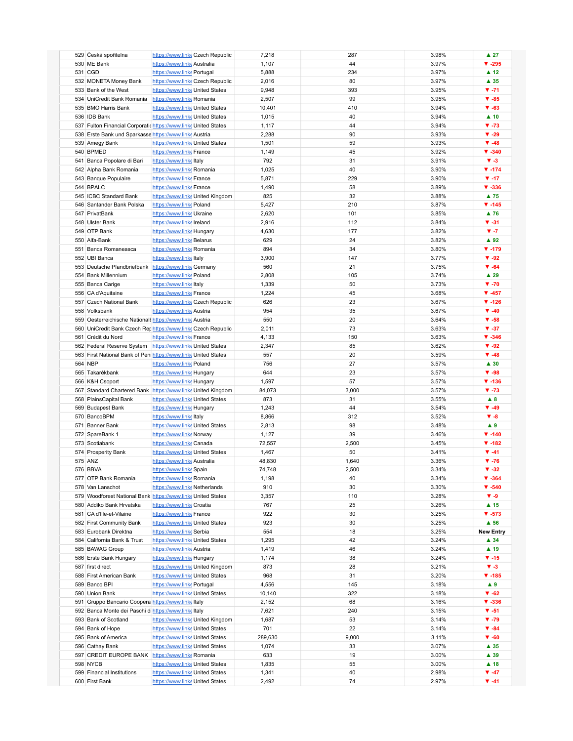| 529 Česká spořitelna                                            | https://www.linke Czech Republic | 7,218   | 287   | 3.98% | $\blacktriangle$ 27 |
|-----------------------------------------------------------------|----------------------------------|---------|-------|-------|---------------------|
|                                                                 |                                  |         |       |       |                     |
| 530 ME Bank                                                     | https://www.linke Australia      | 1,107   | 44    | 3.97% | $V - 295$           |
| 531 CGD                                                         | https://www.linke Portugal       | 5,888   | 234   | 3.97% | $\blacktriangle$ 12 |
| 532 MONETA Money Bank                                           | https://www.linke Czech Republic | 2,016   | 80    | 3.97% | ▲ 35                |
| 533 Bank of the West                                            | https://www.linke United States  | 9,948   | 393   | 3.95% | $V - 71$            |
|                                                                 |                                  |         |       |       |                     |
| 534 UniCredit Bank Romania                                      | https://www.linke Romania        | 2,507   | 99    | 3.95% | $\Psi - 85$         |
| 535 BMO Harris Bank                                             | https://www.linke United States  | 10,401  | 410   | 3.94% | $\Psi - 63$         |
| 536 IDB Bank                                                    | https://www.linke United States  | 1,015   | 40    | 3.94% | $\blacktriangle$ 10 |
|                                                                 |                                  |         |       |       |                     |
| 537 Fulton Financial Corporatic https://www.linke United States |                                  | 1,117   | 44    | 3.94% | $\Psi - 73$         |
| 538 Erste Bank und Sparkasse https://www.linke Austria          |                                  | 2,288   | 90    | 3.93% | $\Psi - 29$         |
| 539 Amegy Bank                                                  | https://www.linke United States  | 1,501   | 59    | 3.93% | $\Psi - 48$         |
| 540 BPMED                                                       | https://www.linke France         | 1,149   | 45    | 3.92% | $V - 340$           |
|                                                                 |                                  |         |       |       |                     |
| 541 Banca Popolare di Bari                                      | https://www.linkeltaly           | 792     | 31    | 3.91% | $V - 3$             |
| 542 Alpha Bank Romania                                          | https://www.linke Romania        | 1,025   | 40    | 3.90% | $\P$ -174           |
| 543 Banque Populaire                                            | https://www.linke France         | 5,871   | 229   | 3.90% | $\Psi - 17$         |
| 544 BPALC                                                       | https://www.linke France         | 1,490   | 58    | 3.89% | $V - 336$           |
|                                                                 |                                  |         |       |       |                     |
| 545 ICBC Standard Bank                                          | https://www.linke United Kingdom | 825     | 32    | 3.88% | $\blacktriangle$ 75 |
| 546 Santander Bank Polska                                       | https://www.linke Poland         | 5,427   | 210   | 3.87% | $V - 145$           |
| 547 PrivatBank                                                  | https://www.linke Ukraine        | 2,620   | 101   | 3.85% | $\blacktriangle$ 76 |
| 548 Ulster Bank                                                 |                                  |         |       |       | $V - 31$            |
|                                                                 | https://www.linke Ireland        | 2,916   | 112   | 3.84% |                     |
| 549 OTP Bank                                                    | https://www.linke Hungary        | 4,630   | 177   | 3.82% | $V - 7$             |
| 550 Alfa-Bank                                                   | https://www.linke Belarus        | 629     | 24    | 3.82% | $\blacktriangle$ 92 |
| 551 Banca Romaneasca                                            | https://www.linke Romania        | 894     | 34    | 3.80% | $V - 179$           |
|                                                                 |                                  |         |       |       |                     |
| 552 UBI Banca                                                   | https://www.linkeltaly           | 3,900   | 147   | 3.77% | $\Psi - 92$         |
| 553 Deutsche Pfandbriefbank https://www.linke Germany           |                                  | 560     | 21    | 3.75% | $\Psi - 64$         |
| 554 Bank Millennium                                             | https://www.linke Poland         | 2,808   | 105   | 3.74% | $\blacktriangle$ 29 |
|                                                                 |                                  |         |       |       |                     |
| 555 Banca Carige                                                | https://www.linke Italy          | 1,339   | 50    | 3.73% | $\Psi - 70$         |
| 556 CA d'Aquitaine                                              | https://www.linke France         | 1,224   | 45    | 3.68% | $\Psi - 457$        |
| 557 Czech National Bank                                         | https://www.linke Czech Republic | 626     | 23    | 3.67% | $\Psi - 126$        |
| 558 Volksbank                                                   | https://www.linke Austria        | 954     | 35    | 3.67% | $\Psi - 40$         |
|                                                                 |                                  |         |       |       |                     |
| 559 Oesterreichische Nationalt https://www.linke Austria        |                                  | 550     | 20    | 3.64% | $\Psi - 58$         |
| 560 UniCredit Bank Czech Rephttps://www.linke Czech Republic    |                                  | 2,011   | 73    | 3.63% | $V - 37$            |
| 561 Crédit du Nord                                              | https://www.linke France         | 4,133   | 150   | 3.63% | $V - 346$           |
|                                                                 |                                  |         |       |       |                     |
| 562 Federal Reserve System https://www.linke United States      |                                  | 2,347   | 85    | 3.62% | $\Psi - 92$         |
| 563 First National Bank of Peni https://www.linke United States |                                  | 557     | 20    | 3.59% | $\Psi - 48$         |
| 564 NBP                                                         | https://www.linke Poland         | 756     | 27    | 3.57% | $\blacktriangle$ 30 |
| 565 Takarékbank                                                 | https://www.linke Hungary        | 644     | 23    | 3.57% | $\Psi - 98$         |
|                                                                 |                                  |         |       |       |                     |
| 566 K&H Csoport                                                 | https://www.linke Hungary        | 1,597   | 57    | 3.57% | $V - 136$           |
| 567 Standard Chartered Bank https://www.linke United Kingdom    |                                  | 84,073  | 3,000 | 3.57% | $\Psi - 73$         |
| 568 PlainsCapital Bank                                          | https://www.linke United States  | 873     | 31    | 3.55% | $\blacktriangle$ 8  |
|                                                                 |                                  | 1,243   | 44    | 3.54% | $\Psi - 49$         |
| 569 Budapest Bank                                               | https://www.linke Hungary        |         |       |       |                     |
| 570 BancoBPM                                                    | https://www.linke Italy          | 8,866   | 312   | 3.52% | $V - 8$             |
| 571 Banner Bank                                                 | https://www.linke United States  | 2,813   | 98    | 3.48% | A9                  |
| 572 SpareBank 1                                                 | https://www.linke Norway         | 1,127   | 39    | 3.46% | $\Psi - 140$        |
|                                                                 |                                  |         |       |       |                     |
| 573 Scotiabank                                                  | https://www.linke Canada         | 72,557  | 2,500 | 3.45% | $V - 182$           |
| 574 Prosperity Bank                                             | https://www.linke United States  | 1,467   | 50    | 3.41% | $\Psi - 41$         |
| 575 ANZ                                                         | https://www.linke Australia      | 48,830  | 1,640 | 3.36% | $\Psi - 76$         |
| 576 BBVA                                                        |                                  |         |       |       |                     |
|                                                                 | https://www.linke Spain          | 74,748  | 2,500 | 3.34% | $\Psi - 32$         |
| 577 OTP Bank Romania                                            | https://www.linke Romania        | 1,198   | 40    | 3.34% | $V - 364$           |
| 578 Van Lanschot                                                | https://www.linke Netherlands    | 910     | 30    | 3.30% | $V - 540$           |
| 579 Woodforest National Bank https://www.linke United States    |                                  | 3,357   | 110   | 3.28% | $V - 9$             |
|                                                                 |                                  |         |       |       |                     |
| 580 Addiko Bank Hrvatska                                        | https://www.linke Croatia        | 767     | 25    | 3.26% | ▲ 15                |
| 581 CA d'Ille-et-Vilaine                                        | https://www.linke France         | 922     | 30    | 3.25% | $V - 573$           |
| 582 First Community Bank                                        | https://www.linke United States  | 923     | 30    | 3.25% | $\blacktriangle$ 56 |
|                                                                 | https://www.linke Serbia         | 554     |       | 3.25% | <b>New Entry</b>    |
| 583 Eurobank Direktna                                           |                                  |         | 18    |       |                     |
| 584 California Bank & Trust                                     | https://www.linke United States  | 1,295   | 42    | 3.24% | ▲ 34                |
| 585 BAWAG Group                                                 | https://www.linke Austria        | 1,419   | 46    | 3.24% | ▲ 19                |
| 586 Erste Bank Hungary                                          | https://www.linke Hungary        | 1,174   | 38    | 3.24% | $\Psi - 15$         |
|                                                                 |                                  |         |       |       |                     |
| 587 first direct                                                | https://www.linke United Kingdom | 873     | 28    | 3.21% | $V - 3$             |
| 588 First American Bank                                         | https://www.linke United States  | 968     | 31    | 3.20% | $\Psi - 185$        |
| 589 Banco BPI                                                   | https://www.linke Portugal       | 4,556   | 145   | 3.18% | $\blacktriangle$ 9  |
|                                                                 |                                  |         |       |       | $\Psi - 62$         |
| 590 Union Bank                                                  | https://www.linke United States  | 10,140  | 322   | 3.18% |                     |
| 591 Gruppo Bancario Coopera https://www.linke Italy             |                                  | 2,152   | 68    | 3.16% | $V - 336$           |
| 592 Banca Monte dei Paschi di https://www.linke Italy           |                                  | 7,621   | 240   | 3.15% | $V - 51$            |
| 593 Bank of Scotland                                            | https://www.linke United Kingdom | 1,687   | 53    | 3.14% | $\Psi - 79$         |
|                                                                 |                                  |         |       |       |                     |
| 594 Bank of Hope                                                | https://www.linke United States  | 701     | 22    | 3.14% | $\Psi - 84$         |
| 595 Bank of America                                             | https://www.linke United States  | 289,630 | 9,000 | 3.11% | $\Psi - 60$         |
| 596 Cathay Bank                                                 | https://www.linke United States  | 1,074   | 33    | 3.07% | $\blacktriangle$ 35 |
|                                                                 |                                  |         |       |       |                     |
| 597 CREDIT EUROPE BANK                                          | https://www.linke Romania        | 633     | 19    | 3.00% | $\blacktriangle$ 39 |
| 598 NYCB                                                        | https://www.linke United States  | 1,835   | 55    | 3.00% | $\blacktriangle$ 18 |
| 599 Financial Institutions                                      | https://www.linke United States  | 1,341   | 40    | 2.98% | $\Psi - 47$         |
| 600 First Bank                                                  |                                  | 2,492   | 74    | 2.97% | $\Psi -41$          |
|                                                                 | https://www.linke United States  |         |       |       |                     |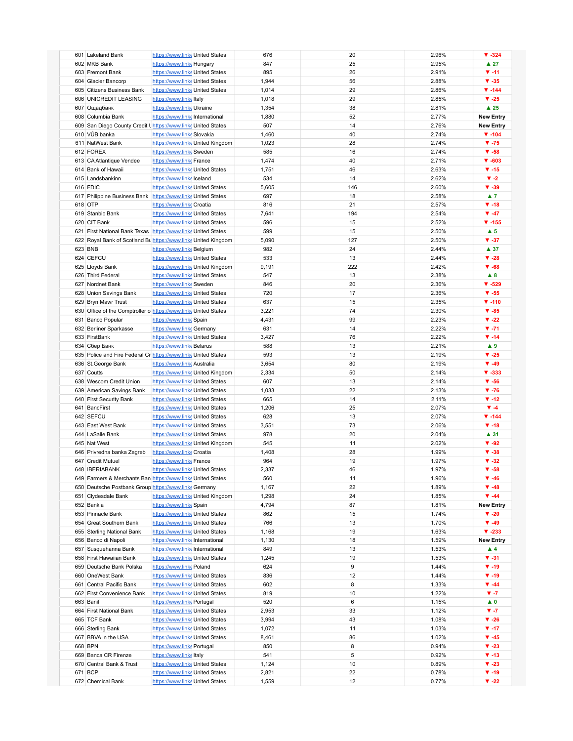| 601 Lakeland Bank          |                                                                  | https://www.linke United States |                                  | 676   | 20  | 2.96% | $V - 324$                |
|----------------------------|------------------------------------------------------------------|---------------------------------|----------------------------------|-------|-----|-------|--------------------------|
| 602 MKB Bank               |                                                                  | https://www.linke Hungary       |                                  | 847   | 25  | 2.95% | $\blacktriangle$ 27      |
|                            |                                                                  |                                 |                                  |       |     |       |                          |
| 603 Fremont Bank           |                                                                  | https://www.linke United States |                                  | 895   | 26  | 2.91% | $V - 11$                 |
| 604 Glacier Bancorp        |                                                                  | https://www.linke United States |                                  | 1,944 | 56  | 2.88% | $V - 35$                 |
|                            | 605 Citizens Business Bank                                       | https://www.linke United States |                                  | 1,014 | 29  | 2.86% | $V - 144$                |
| 606 UNICREDIT LEASING      |                                                                  | https://www.linke Italy         |                                  | 1,018 | 29  | 2.85% | $V - 25$                 |
| 607 Ощадбанк               |                                                                  | https://www.linke Ukraine       |                                  | 1,354 | 38  | 2.81% | $\blacktriangle$ 25      |
|                            |                                                                  |                                 |                                  |       |     | 2.77% |                          |
| 608 Columbia Bank          |                                                                  | https://www.linkelnternational  |                                  | 1,880 | 52  |       | <b>New Entry</b>         |
|                            | 609 San Diego County Credit Unttps://www.linke United States     |                                 |                                  | 507   | 14  | 2.76% | <b>New Entry</b>         |
| 610 VÚB banka              |                                                                  | https://www.linke Slovakia      |                                  | 1,460 | 40  | 2.74% | $\Psi - 104$             |
| 611 NatWest Bank           |                                                                  |                                 | https://www.linke United Kingdom | 1,023 | 28  | 2.74% | $V - 75$                 |
| 612 FOREX                  |                                                                  | https://www.linke Sweden        |                                  | 585   | 16  | 2.74% | $V - 58$                 |
| 613 CA Atlantique Vendee   |                                                                  | https://www.linke France        |                                  | 1,474 | 40  | 2.71% | $\Psi - 603$             |
|                            |                                                                  |                                 |                                  |       |     |       |                          |
| 614 Bank of Hawaii         |                                                                  | https://www.linke United States |                                  | 1,751 | 46  | 2.63% | $\P$ -15                 |
| 615 Landsbankinn           |                                                                  | https://www.linkelceland        |                                  | 534   | 14  | 2.62% | $V - 2$                  |
| 616 FDIC                   |                                                                  | https://www.linke United States |                                  | 5,605 | 146 | 2.60% | $\Psi - 39$              |
|                            | 617 Philippine Business Bank https://www.linke United States     |                                 |                                  | 697   | 18  | 2.58% | $\blacktriangle$ 7       |
| 618 OTP                    |                                                                  | https://www.linke Croatia       |                                  | 816   | 21  | 2.57% | $\Psi - 18$              |
| 619 Stanbic Bank           |                                                                  |                                 |                                  |       | 194 |       | $\Psi - 47$              |
|                            |                                                                  | https://www.linke United States |                                  | 7,641 |     | 2.54% |                          |
| 620 CIT Bank               |                                                                  | https://www.linke United States |                                  | 596   | 15  | 2.52% | $\Psi - 155$             |
|                            | 621 First National Bank Texas https://www.linke United States    |                                 |                                  | 599   | 15  | 2.50% | $\blacktriangle$ 5       |
|                            | 622 Royal Bank of Scotland Bu https://www.linke United Kingdom   |                                 |                                  | 5,090 | 127 | 2.50% | $\Psi - 37$              |
| 623 BNB                    |                                                                  | https://www.linke Belgium       |                                  | 982   | 24  | 2.44% | ▲ 37                     |
| 624 CEFCU                  |                                                                  | https://www.linke United States |                                  | 533   | 13  | 2.44% | $\Psi - 28$              |
|                            |                                                                  |                                 |                                  |       |     |       |                          |
| 625 Lloyds Bank            |                                                                  |                                 | https://www.linke United Kingdom | 9,191 | 222 | 2.42% | $\Psi - 68$              |
| 626 Third Federal          |                                                                  | https://www.linke United States |                                  | 547   | 13  | 2.38% | A 8                      |
| 627 Nordnet Bank           |                                                                  | https://www.linke Sweden        |                                  | 846   | 20  | 2.36% | $\Psi - 529$             |
| 628 Union Savings Bank     |                                                                  | https://www.linke United States |                                  | 720   | 17  | 2.36% | $V - 55$                 |
| 629 Bryn Mawr Trust        |                                                                  | https://www.linke United States |                                  | 637   | 15  | 2.35% | $\Psi - 110$             |
|                            |                                                                  |                                 |                                  |       |     |       |                          |
|                            | 630 Office of the Comptroller of https://www.linke United States |                                 |                                  | 3,221 | 74  | 2.30% | $V - 85$                 |
| 631 Banco Popular          |                                                                  | https://www.linke Spain         |                                  | 4,431 | 99  | 2.23% | $\blacktriangledown$ -22 |
| 632 Berliner Sparkasse     |                                                                  | https://www.linke Germany       |                                  | 631   | 14  | 2.22% | $V - 71$                 |
| 633 FirstBank              |                                                                  | https://www.linke United States |                                  | 3,427 | 76  | 2.22% | $\Psi - 14$              |
| 634 Сбер Банк              |                                                                  | https://www.linke Belarus       |                                  | 588   | 13  | 2.21% | $\blacktriangle$ 9       |
|                            | 635 Police and Fire Federal Cr https://www.linke United States   |                                 |                                  | 593   | 13  | 2.19% | $V - 25$                 |
|                            |                                                                  |                                 |                                  |       |     |       |                          |
| 636 St.George Bank         |                                                                  | https://www.linke Australia     |                                  | 3,654 | 80  | 2.19% | $\Psi - 49$              |
| 637 Coutts                 |                                                                  |                                 | https://www.linke United Kingdom | 2,334 | 50  | 2.14% | $V - 333$                |
| 638 Wescom Credit Union    |                                                                  | https://www.linke United States |                                  | 607   | 13  | 2.14% | $V - 56$                 |
|                            | 639 American Savings Bank                                        | https://www.linke United States |                                  | 1,033 | 22  | 2.13% | $\Psi - 76$              |
| 640 First Security Bank    |                                                                  | https://www.linke United States |                                  | 665   | 14  | 2.11% | $\P$ -12                 |
|                            |                                                                  |                                 |                                  |       |     |       | $\Psi - 4$               |
| 641 BancFirst              |                                                                  | https://www.linke United States |                                  | 1,206 | 25  | 2.07% |                          |
| 642 SEFCU                  |                                                                  | https://www.linke United States |                                  | 628   | 13  | 2.07% | $\P$ -144                |
| 643 East West Bank         |                                                                  | https://www.linke United States |                                  | 3,551 | 73  | 2.06% | $\Psi - 18$              |
| 644 LaSalle Bank           |                                                                  | https://www.linke United States |                                  | 978   | 20  | 2.04% | $\blacktriangle$ 31      |
| 645 Nat West               |                                                                  |                                 | https://www.linke United Kingdom | 545   | 11  | 2.02% | $\Psi - 92$              |
|                            | 646 Privredna banka Zagreb                                       | https://www.linke Croatia       |                                  | 1,408 | 28  | 1.99% | $V - 38$                 |
|                            |                                                                  |                                 |                                  |       |     |       |                          |
| 647 Credit Mutuel          |                                                                  | https://www.linke France        |                                  | 964   | 19  | 1.97% | $\Psi - 32$              |
| 648 IBERIABANK             |                                                                  | https://www.linke United States |                                  | 2,337 | 46  | 1.97% | $V - 58$                 |
|                            | 649 Farmers & Merchants Ban https://www.linke United States      |                                 |                                  | 560   | 11  | 1.96% | $\Psi - 46$              |
|                            | 650 Deutsche Postbank Group https://www.linke Germany            |                                 |                                  | 1,167 | 22  | 1.89% | $\Psi - 48$              |
| 651 Clydesdale Bank        |                                                                  |                                 | https://www.linke United Kingdom | 1,298 | 24  | 1.85% | $\Psi - 44$              |
|                            |                                                                  |                                 |                                  | 4,794 | 87  |       |                          |
| 652 Bankia                 |                                                                  | https://www.linke Spain         |                                  |       |     | 1.81% | <b>New Entry</b>         |
| 653 Pinnacle Bank          |                                                                  | https://www.linke United States |                                  | 862   | 15  | 1.74% | $\Psi - 20$              |
| 654 Great Southern Bank    |                                                                  | https://www.linke United States |                                  | 766   | 13  | 1.70% | $\Psi - 49$              |
| 655 Sterling National Bank |                                                                  | https://www.linke United States |                                  | 1,168 | 19  | 1.63% | $V - 233$                |
| 656 Banco di Napoli        |                                                                  | https://www.linkelnternational  |                                  | 1,130 | 18  | 1.59% | <b>New Entry</b>         |
| 657 Susquehanna Bank       |                                                                  | https://www.linkelnternational  |                                  | 849   | 13  | 1.53% | $\blacktriangle$ 4       |
|                            |                                                                  |                                 |                                  |       |     |       |                          |
| 658 First Hawaiian Bank    |                                                                  | https://www.linke United States |                                  | 1,245 | 19  | 1.53% | $V - 31$                 |
| 659 Deutsche Bank Polska   |                                                                  | https://www.linke Poland        |                                  | 624   | 9   | 1.44% | $\Psi - 19$              |
| 660 OneWest Bank           |                                                                  | https://www.linke United States |                                  | 836   | 12  | 1.44% | $\Psi - 19$              |
| 661 Central Pacific Bank   |                                                                  | https://www.linke United States |                                  | 602   | 8   | 1.33% | $\P$ -44                 |
|                            | 662 First Convenience Bank                                       | https://www.linke United States |                                  | 819   | 10  | 1.22% | $V - 7$                  |
|                            |                                                                  |                                 |                                  |       |     |       |                          |
| 663 Banif                  |                                                                  | https://www.linke Portugal      |                                  | 520   | 6   | 1.15% | $\blacktriangle$ 0       |
| 664 First National Bank    |                                                                  | https://www.linke United States |                                  | 2,953 | 33  | 1.12% | $V - 7$                  |
| 665 TCF Bank               |                                                                  | https://www.linke United States |                                  | 3,994 | 43  | 1.08% | $V - 26$                 |
| 666 Sterling Bank          |                                                                  | https://www.linke United States |                                  | 1,072 | 11  | 1.03% | $\Psi - 17$              |
| 667 BBVA in the USA        |                                                                  | https://www.linke United States |                                  | 8,461 | 86  | 1.02% | $\Psi - 45$              |
| 668 BPN                    |                                                                  | https://www.linke Portugal      |                                  | 850   | 8   | 0.94% | $\Psi - 23$              |
|                            |                                                                  |                                 |                                  |       |     |       |                          |
| 669 Banca CR Firenze       |                                                                  | https://www.linkeltaly          |                                  | 541   | 5   | 0.92% | $\Psi - 13$              |
| 670 Central Bank & Trust   |                                                                  | https://www.linke United States |                                  | 1,124 | 10  | 0.89% | $\Psi - 23$              |
| 671 BCP                    |                                                                  | https://www.linke United States |                                  | 2,821 | 22  | 0.78% | $\P$ -19                 |
| 672 Chemical Bank          |                                                                  | https://www.linke United States |                                  | 1,559 | 12  | 0.77% | $\blacktriangledown$ -22 |
|                            |                                                                  |                                 |                                  |       |     |       |                          |